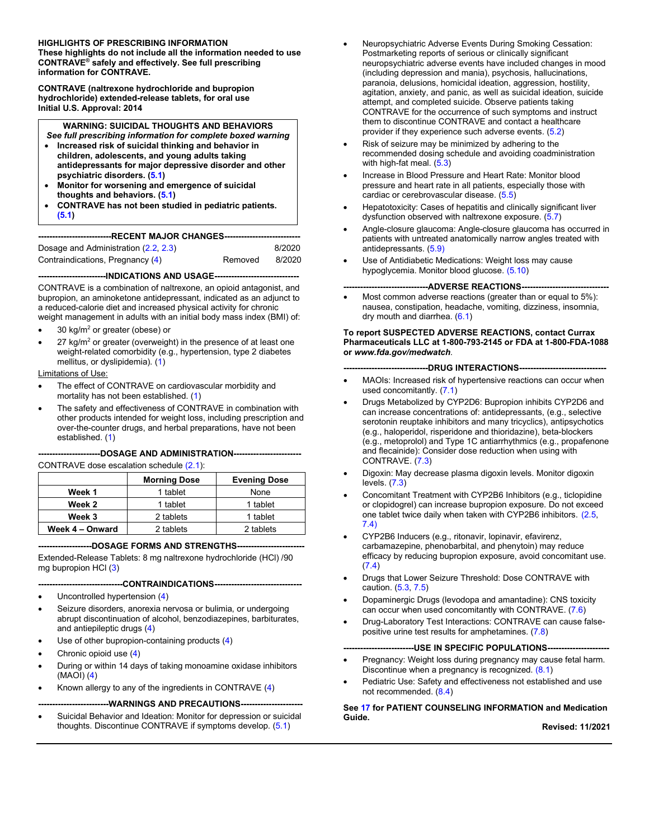#### **HIGHLIGHTS OF PRESCRIBING INFORMATION**

These highlights do not include all the information needed to use CONTRAVE® safely and effectively. See full prescribing information for CONTRAVE.

**CONTRAVE** (naltrexone hydrochloride and bupropion hydrochloride) extended-release tablets, for oral use Initial U.S. Approval: 2014

#### **WARNING: SUICIDAL THOUGHTS AND BEHAVIORS**

- See full prescribing information for complete boxed warning Increased risk of suicidal thinking and behavior in
- children, adolescents, and young adults taking antidepressants for major depressive disorder and other psychiatric disorders. (5.1)
- Monitor for worsening and emergence of suicidal thoughts and behaviors. (5.1)
- CONTRAVE has not been studied in pediatric patients.  $(5.1)$

| ---------------------------RECENT                                 MAJOR CHANGES------ |  |  |
|---------------------------------------------------------------------------------------|--|--|
|                                                                                       |  |  |

| Dosage and Administration (2.2, 2.3) |         | 8/2020 |
|--------------------------------------|---------|--------|
| Contraindications, Pregnancy (4)     | Removed | 8/2020 |

#### ----------INDICATIONS AND USAGE------------------

CONTRAVE is a combination of naltrexone, an opioid antagonist, and bupropion, an aminoketone antidepressant, indicated as an adjunct to a reduced-calorie diet and increased physical activity for chronic weight management in adults with an initial body mass index (BMI) of:

- 30  $kg/m<sup>2</sup>$  or greater (obese) or
- 27  $\text{kg/m}^2$  or greater (overweight) in the presence of at least one weight-related comorbidity (e.g., hypertension, type 2 diabetes mellitus, or dyslipidemia). (1)

Limitations of Use:

- The effect of CONTRAVE on cardiovascular morbidity and mortality has not been established. (1)
- The safety and effectiveness of CONTRAVE in combination with other products intended for weight loss, including prescription and over-the-counter drugs, and herbal preparations, have not been established. (1)

#### --------------DOSAGE AND ADMINISTRATION-------------------------

CONTRAVE dose escalation schedule (2.1):

|                 | <b>Morning Dose</b> | <b>Evening Dose</b> |
|-----------------|---------------------|---------------------|
| Week 1          | 1 tablet            | None                |
| Week 2          | 1 tablet            | 1 tablet            |
| Week 3          | 2 tablets           | 1 tablet            |
| Week 4 - Onward | 2 tablets           | 2 tablets           |

--------------DOSAGE FORMS AND STRENGTHS------------------

Extended-Release Tablets: 8 mg naltrexone hydrochloride (HCl) /90 mg bupropion HCl (3)

----------------CONTRAINDICATIONS--------------------

- Uncontrolled hypertension (4)
- Seizure disorders, anorexia nervosa or bulimia, or undergoing abrupt discontinuation of alcohol, benzodiazepines, barbiturates, and antiepileptic drugs (4)
- Use of other bupropion-containing products (4)
- Chronic opioid use (4)
- During or within 14 days of taking monoamine oxidase inhibitors  $(MAOI)$  $(4)$
- Known allergy to any of the ingredients in CONTRAVE (4)
	- --------------WARNINGS AND PRECAUTIONS---------
- Suicidal Behavior and Ideation: Monitor for depression or suicidal thoughts. Discontinue CONTRAVE if symptoms develop. (5.1)
- Neuropsychiatric Adverse Events During Smoking Cessation: Postmarketing reports of serious or clinically significant neuropsychiatric adverse events have included changes in mood (including depression and mania), psychosis, hallucinations, paranoia, delusions, homicidal ideation, aggression, hostility, agitation, anxiety, and panic, as well as suicidal ideation, suicide attempt, and completed suicide. Observe patients taking CONTRAVE for the occurrence of such symptoms and instruct them to discontinue CONTRAVE and contact a healthcare provider if they experience such adverse events. (5.2)
- Risk of seizure may be minimized by adhering to the recommended dosing schedule and avoiding coadministration with high-fat meal.  $(5.3)$
- Increase in Blood Pressure and Heart Rate: Monitor blood  $\bullet$ pressure and heart rate in all patients, especially those with cardiac or cerebrovascular disease. (5.5)
- Hepatotoxicity: Cases of hepatitis and clinically significant liver dysfunction observed with naltrexone exposure.  $(5.7)$
- Angle-closure glaucoma: Angle-closure glaucoma has occurred in patients with untreated anatomically narrow angles treated with antidepressants. (5.9)
- Use of Antidiabetic Medications: Weight loss may cause hypoglycemia. Monitor blood glucose. (5.10)

#### ------ADVERSE REACTIONS---

Most common adverse reactions (greater than or equal to 5%): nausea, constipation, headache, vomiting, dizziness, insomnia, dry mouth and diarrhea.  $(6.1)$ 

#### To report SUSPECTED ADVERSE REACTIONS, contact Currax Pharmaceuticals LLC at 1-800-793-2145 or FDA at 1-800-FDA-1088 or www.fda.gov/medwatch.

#### ------DRUG INTERACTIONS----------------

- MAOIs: Increased risk of hypertensive reactions can occur when used concomitantly. (7.1)
- Drugs Metabolized by CYP2D6: Bupropion inhibits CYP2D6 and can increase concentrations of: antidepressants, (e.g., selective serotonin reuptake inhibitors and many tricyclics), antipsychotics (e.g., haloperidol, risperidone and thioridazine), beta-blockers (e.g., metoprolol) and Type 1C antiarrhythmics (e.g., propafenone and flecainide): Consider dose reduction when using with CONTRAVE. (7.3)
- Digoxin: May decrease plasma digoxin levels. Monitor digoxin levels.  $(7.3)$
- Concomitant Treatment with CYP2B6 Inhibitors (e.g., ticlopidine or clopidogrel) can increase bupropion exposure. Do not exceed one tablet twice daily when taken with CYP2B6 inhibitors. (2.5,  $74)$
- CYP2B6 Inducers (e.g., ritonavir, lopinavir, efavirenz, carbamazepine, phenobarbital, and phenytoin) may reduce efficacy by reducing bupropion exposure, avoid concomitant use.  $(7.4)$
- Drugs that Lower Seizure Threshold: Dose CONTRAVE with  $\bullet$ caution. (5.3, 7.5)
- Dopaminergic Drugs (levodopa and amantadine): CNS toxicity can occur when used concomitantly with CONTRAVE. (7.6)
- Drug-Laboratory Test Interactions: CONTRAVE can cause falsepositive urine test results for amphetamines. (7.8)

#### -- USE IN SPECIFIC POPULATIONS----

- Pregnancy: Weight loss during pregnancy may cause fetal harm. Discontinue when a pregnancy is recognized.  $(8.1)$
- Pediatric Use: Safety and effectiveness not established and use not recommended.  $(8.4)$

#### See 17 for PATIENT COUNSELING INFORMATION and Medication Guide.

Revised: 11/2021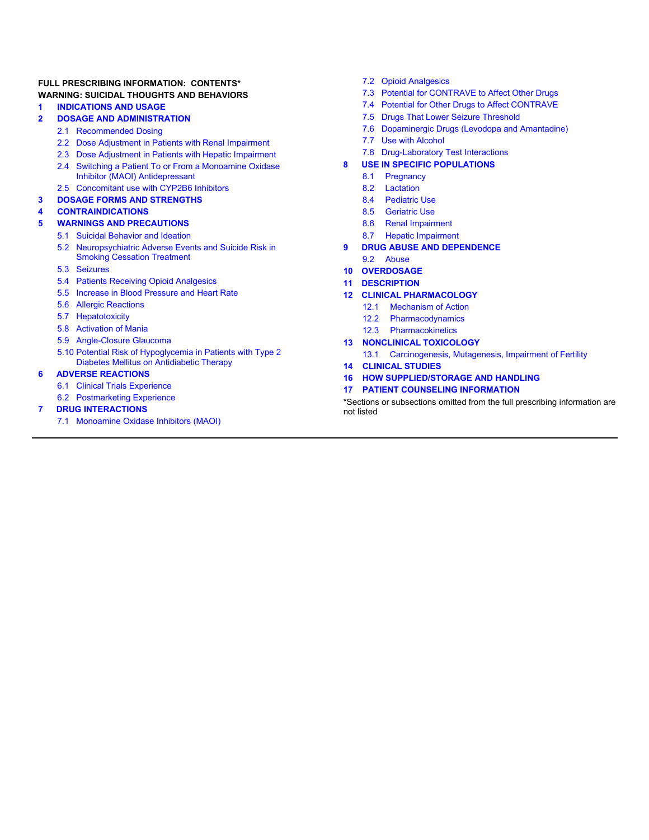#### FULL PRESCRIBING INFORMATION: CONTENTS\* **WARNING: SUICIDAL THOUGHTS AND BEHAVIORS**

#### **INDICATIONS AND USAGE** 1

#### $\overline{2}$ **DOSAGE AND ADMINISTRATION**

- 2.1 Recommended Dosing
- 2.2 Dose Adjustment in Patients with Renal Impairment
- 2.3 Dose Adiustment in Patients with Hepatic Impairment
- 2.4 Switching a Patient To or From a Monoamine Oxidase Inhibitor (MAOI) Antidepressant
- 2.5 Concomitant use with CYP2B6 Inhibitors

#### $\overline{\mathbf{3}}$ **DOSAGE FORMS AND STRENGTHS**

#### **CONTRAINDICATIONS** 4

- **WARNINGS AND PRECAUTIONS**
- 5.1 Suicidal Behavior and Ideation
- Neuropsychiatric Adverse Events and Suicide Risk in  $52$ **Smoking Cessation Treatment**
- 5.3 Seizures

5

- 5.4 Patients Receiving Opioid Analgesics
- 5.5 Increase in Blood Pressure and Heart Rate
- 5.6 Allergic Reactions
- 5.7 Hepatotoxicity
- 5.8 Activation of Mania
- 5.9 Angle-Closure Glaucoma
- 5.10 Potential Risk of Hypoglycemia in Patients with Type 2 Diabetes Mellitus on Antidiabetic Therapy

#### **ADVERSE REACTIONS G**

- 6.1 Clinical Trials Experience
- 6.2 Postmarketing Experience

#### **DRUG INTERACTIONS** 7

7.1 Monoamine Oxidase Inhibitors (MAOI)

- 7.2 Opioid Analgesics
- 7.3 Potential for CONTRAVE to Affect Other Drugs
- 7.4 Potential for Other Drugs to Affect CONTRAVE
- 7.5 Drugs That Lower Seizure Threshold
- 7.6 Dopaminergic Drugs (Levodopa and Amantadine)
- $7.7$ **Use with Alcohol**
- 7.8 Drug-Laboratory Test Interactions
- **USE IN SPECIFIC POPULATIONS** 8
	- $8.1$ Pregnancy
	- 8.2 Lactation
	- 8.4 Pediatric Use
	- 8.5 Geriatric Use
	- 8.6 Renal Impairment
	- **Hepatic Impairment** 8.7
- **DRUG ABUSE AND DEPENDENCE**  $\mathbf{9}$
- 92 Abuse
- **OVERDOSAGE**  $10<sup>-10</sup>$
- **DESCRIPTION**  $11<sup>1</sup>$
- **12 CLINICAL PHARMACOLOGY** 
	- $12.1$ **Mechanism of Action**
	- $12.2$ Pharmacodynamics
	- $12.3$ Pharmacokinetics

#### **13 NONCLINICAL TOXICOLOGY**

- 13.1 Carcinogenesis, Mutagenesis, Impairment of Fertility **CLINICAL STUDIES**
- $14$
- 16 HOW SUPPLIED/STORAGE AND HANDLING
- $17<sup>2</sup>$ **PATIENT COUNSELING INFORMATION**

\*Sections or subsections omitted from the full prescribing information are not listed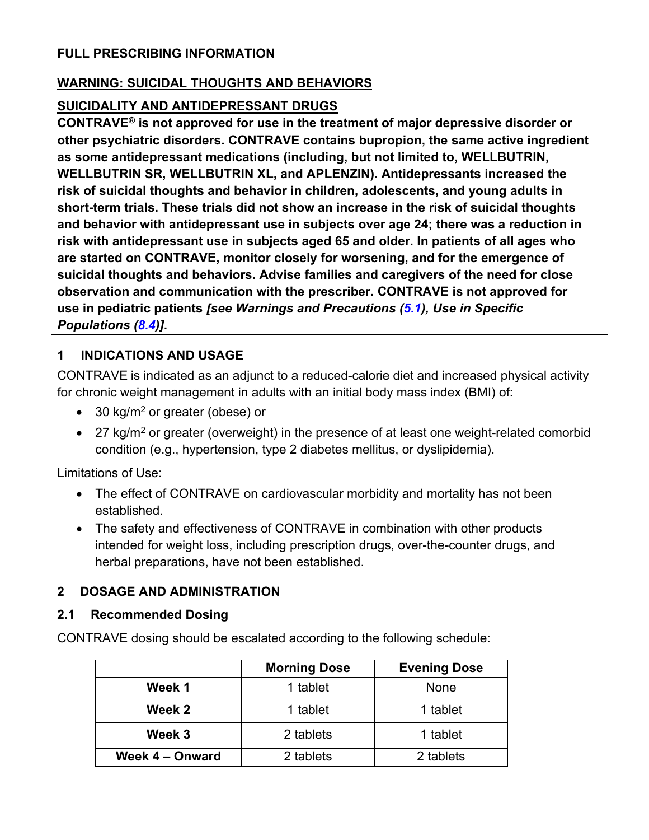### **WARNING: SUICIDAL THOUGHTS AND BEHAVIORS**

### SUICIDALITY AND ANTIDEPRESSANT DRUGS

CONTRAVE<sup>®</sup> is not approved for use in the treatment of major depressive disorder or other psychiatric disorders. CONTRAVE contains bupropion, the same active ingredient as some antidepressant medications (including, but not limited to, WELLBUTRIN, WELLBUTRIN SR, WELLBUTRIN XL, and APLENZIN). Antidepressants increased the risk of suicidal thoughts and behavior in children, adolescents, and young adults in short-term trials. These trials did not show an increase in the risk of suicidal thoughts and behavior with antidepressant use in subjects over age 24; there was a reduction in risk with antidepressant use in subjects aged 65 and older. In patients of all ages who are started on CONTRAVE, monitor closely for worsening, and for the emergence of suicidal thoughts and behaviors. Advise families and caregivers of the need for close observation and communication with the prescriber. CONTRAVE is not approved for use in pediatric patients [see Warnings and Precautions (5.1), Use in Specific Populations (8.4)].

#### 1 **INDICATIONS AND USAGE**

CONTRAVE is indicated as an adjunct to a reduced-calorie diet and increased physical activity for chronic weight management in adults with an initial body mass index (BMI) of:

- 30 kg/m<sup>2</sup> or greater (obese) or
- 27 kg/m<sup>2</sup> or greater (overweight) in the presence of at least one weight-related comorbid condition (e.g., hypertension, type 2 diabetes mellitus, or dyslipidemia).

**Limitations of Use:** 

- The effect of CONTRAVE on cardiovascular morbidity and mortality has not been established.
- The safety and effectiveness of CONTRAVE in combination with other products intended for weight loss, including prescription drugs, over-the-counter drugs, and herbal preparations, have not been established.

#### **DOSAGE AND ADMINISTRATION**  $\mathbf{2}$

#### **Recommended Dosing**  $2.1$

CONTRAVE dosing should be escalated according to the following schedule:

|                 | <b>Morning Dose</b> | <b>Evening Dose</b> |
|-----------------|---------------------|---------------------|
| Week 1          | 1 tablet            | None                |
| Week 2          | 1 tablet            | 1 tablet            |
| Week 3          | 2 tablets           | 1 tablet            |
| Week 4 - Onward | 2 tablets           | 2 tablets           |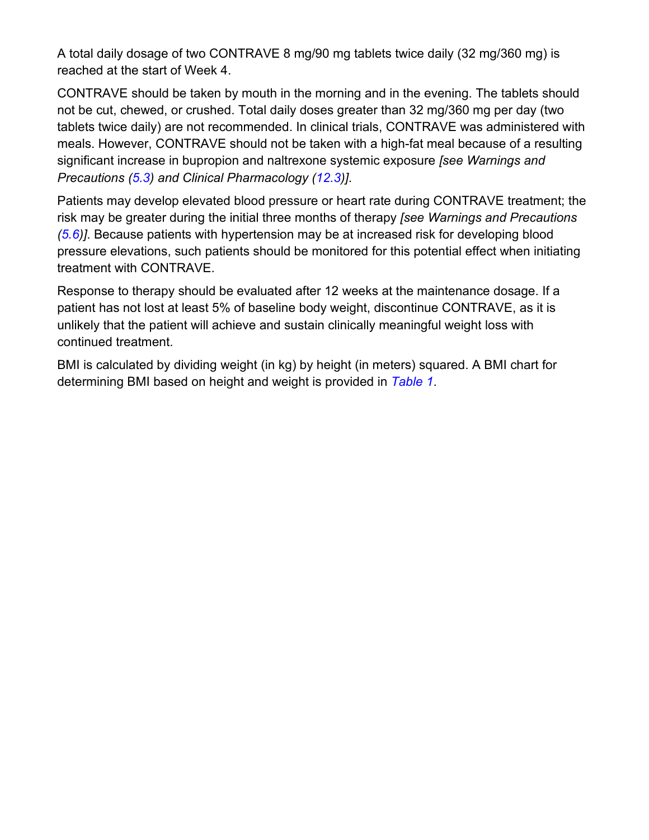A total daily dosage of two CONTRAVE 8 mg/90 mg tablets twice daily (32 mg/360 mg) is reached at the start of Week 4.

CONTRAVE should be taken by mouth in the morning and in the evening. The tablets should not be cut, chewed, or crushed. Total daily doses greater than 32 mg/360 mg per day (two tablets twice daily) are not recommended. In clinical trials, CONTRAVE was administered with meals. However, CONTRAVE should not be taken with a high-fat meal because of a resulting significant increase in bupropion and naltrexone systemic exposure (see Warnings and Precautions (5.3) and Clinical Pharmacology (12.3)].

Patients may develop elevated blood pressure or heart rate during CONTRAVE treatment; the risk may be greater during the initial three months of therapy (see Warnings and Precautions  $(5.6)$ ]. Because patients with hypertension may be at increased risk for developing blood pressure elevations, such patients should be monitored for this potential effect when initiating treatment with CONTRAVE.

Response to therapy should be evaluated after 12 weeks at the maintenance dosage. If a patient has not lost at least 5% of baseline body weight, discontinue CONTRAVE, as it is unlikely that the patient will achieve and sustain clinically meaningful weight loss with continued treatment.

BMI is calculated by dividing weight (in kg) by height (in meters) squared. A BMI chart for determining BMI based on height and weight is provided in Table 1.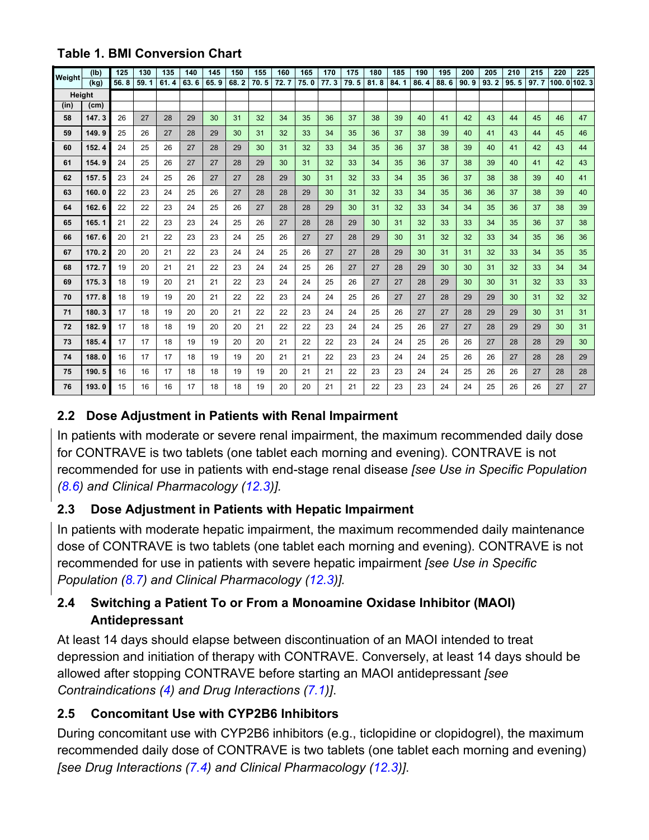|        | (1b)              | 125  | 130  | 135  | 140  | 145  | 150  | 155  | 160  | 165  | 170  | 175  | 180  | 185  | 190  | 195  | 200  | 205  | 210  | 215  | 220         | 225 |
|--------|-------------------|------|------|------|------|------|------|------|------|------|------|------|------|------|------|------|------|------|------|------|-------------|-----|
| Weight | (kq)              | 56.8 | 59.1 | 61.4 | 63.6 | 65.9 | 68.2 | 70.5 | 72.7 | 75.0 | 77.3 | 79.5 | 81.8 | 84.1 | 86.4 | 88.6 | 90.9 | 93.2 | 95.5 | 97.7 | 100.0 102.3 |     |
|        | Height            |      |      |      |      |      |      |      |      |      |      |      |      |      |      |      |      |      |      |      |             |     |
| (in)   | (c <sub>m</sub> ) |      |      |      |      |      |      |      |      |      |      |      |      |      |      |      |      |      |      |      |             |     |
| 58     | 147.3             | 26   | 27   | 28   | 29   | 30   | 31   | 32   | 34   | 35   | 36   | 37   | 38   | 39   | 40   | 41   | 42   | 43   | 44   | 45   | 46          | 47  |
| 59     | 149.9             | 25   | 26   | 27   | 28   | 29   | 30   | 31   | 32   | 33   | 34   | 35   | 36   | 37   | 38   | 39   | 40   | 41   | 43   | 44   | 45          | 46  |
| 60     | 152.4             | 24   | 25   | 26   | 27   | 28   | 29   | 30   | 31   | 32   | 33   | 34   | 35   | 36   | 37   | 38   | 39   | 40   | 41   | 42   | 43          | 44  |
| 61     | 154.9             | 24   | 25   | 26   | 27   | 27   | 28   | 29   | 30   | 31   | 32   | 33   | 34   | 35   | 36   | 37   | 38   | 39   | 40   | 41   | 42          | 43  |
| 62     | 157.5             | 23   | 24   | 25   | 26   | 27   | 27   | 28   | 29   | 30   | 31   | 32   | 33   | 34   | 35   | 36   | 37   | 38   | 38   | 39   | 40          | 41  |
| 63     | 160.0             | 22   | 23   | 24   | 25   | 26   | 27   | 28   | 28   | 29   | 30   | 31   | 32   | 33   | 34   | 35   | 36   | 36   | 37   | 38   | 39          | 40  |
| 64     | 162.6             | 22   | 22   | 23   | 24   | 25   | 26   | 27   | 28   | 28   | 29   | 30   | 31   | 32   | 33   | 34   | 34   | 35   | 36   | 37   | 38          | 39  |
| 65     | 165.1             | 21   | 22   | 23   | 23   | 24   | 25   | 26   | 27   | 28   | 28   | 29   | 30   | 31   | 32   | 33   | 33   | 34   | 35   | 36   | 37          | 38  |
| 66     | 167.6             | 20   | 21   | 22   | 23   | 23   | 24   | 25   | 26   | 27   | 27   | 28   | 29   | 30   | 31   | 32   | 32   | 33   | 34   | 35   | 36          | 36  |
| 67     | 170.2             | 20   | 20   | 21   | 22   | 23   | 24   | 24   | 25   | 26   | 27   | 27   | 28   | 29   | 30   | 31   | 31   | 32   | 33   | 34   | 35          | 35  |
| 68     | 172.7             | 19   | 20   | 21   | 21   | 22   | 23   | 24   | 24   | 25   | 26   | 27   | 27   | 28   | 29   | 30   | 30   | 31   | 32   | 33   | 34          | 34  |
| 69     | 175.3             | 18   | 19   | 20   | 21   | 21   | 22   | 23   | 24   | 24   | 25   | 26   | 27   | 27   | 28   | 29   | 30   | 30   | 31   | 32   | 33          | 33  |
| 70     | 177.8             | 18   | 19   | 19   | 20   | 21   | 22   | 22   | 23   | 24   | 24   | 25   | 26   | 27   | 27   | 28   | 29   | 29   | 30   | 31   | 32          | 32  |
| 71     | 180.3             | 17   | 18   | 19   | 20   | 20   | 21   | 22   | 22   | 23   | 24   | 24   | 25   | 26   | 27   | 27   | 28   | 29   | 29   | 30   | 31          | 31  |
| 72     | 182.9             | 17   | 18   | 18   | 19   | 20   | 20   | 21   | 22   | 22   | 23   | 24   | 24   | 25   | 26   | 27   | 27   | 28   | 29   | 29   | 30          | 31  |
| 73     | 185.4             | 17   | 17   | 18   | 19   | 19   | 20   | 20   | 21   | 22   | 22   | 23   | 24   | 24   | 25   | 26   | 26   | 27   | 28   | 28   | 29          | 30  |
| 74     | 188.0             | 16   | 17   | 17   | 18   | 19   | 19   | 20   | 21   | 21   | 22   | 23   | 23   | 24   | 24   | 25   | 26   | 26   | 27   | 28   | 28          | 29  |
| 75     | 190.5             | 16   | 16   | 17   | 18   | 18   | 19   | 19   | 20   | 21   | 21   | 22   | 23   | 23   | 24   | 24   | 25   | 26   | 26   | 27   | 28          | 28  |
| 76     | 193.0             | 15   | 16   | 16   | 17   | 18   | 18   | 19   | 20   | 20   | 21   | 21   | 22   | 23   | 23   | 24   | 24   | 25   | 26   | 26   | 27          | 27  |

## **Table 1. BMI Conversion Chart**

# 2.2 Dose Adjustment in Patients with Renal Impairment

In patients with moderate or severe renal impairment, the maximum recommended daily dose for CONTRAVE is two tablets (one tablet each morning and evening). CONTRAVE is not recommended for use in patients with end-stage renal disease [see Use in Specific Population (8.6) and Clinical Pharmacology (12.3)].

#### Dose Adjustment in Patients with Hepatic Impairment  $2.3$

In patients with moderate hepatic impairment, the maximum recommended daily maintenance dose of CONTRAVE is two tablets (one tablet each morning and evening). CONTRAVE is not recommended for use in patients with severe hepatic impairment [see Use in Specific Population (8.7) and Clinical Pharmacology (12.3)].

#### $2.4$ Switching a Patient To or From a Monoamine Oxidase Inhibitor (MAOI) **Antidepressant**

At least 14 days should elapse between discontinuation of an MAOI intended to treat depression and initiation of therapy with CONTRAVE. Conversely, at least 14 days should be allowed after stopping CONTRAVE before starting an MAOI antidepressant [see] Contraindications (4) and Drug Interactions (7.1)].

#### $2.5$ **Concomitant Use with CYP2B6 Inhibitors**

During concomitant use with CYP2B6 inhibitors (e.g., ticlopidine or clopidogrel), the maximum recommended daily dose of CONTRAVE is two tablets (one tablet each morning and evening) [see Drug Interactions (7.4) and Clinical Pharmacology (12.3)].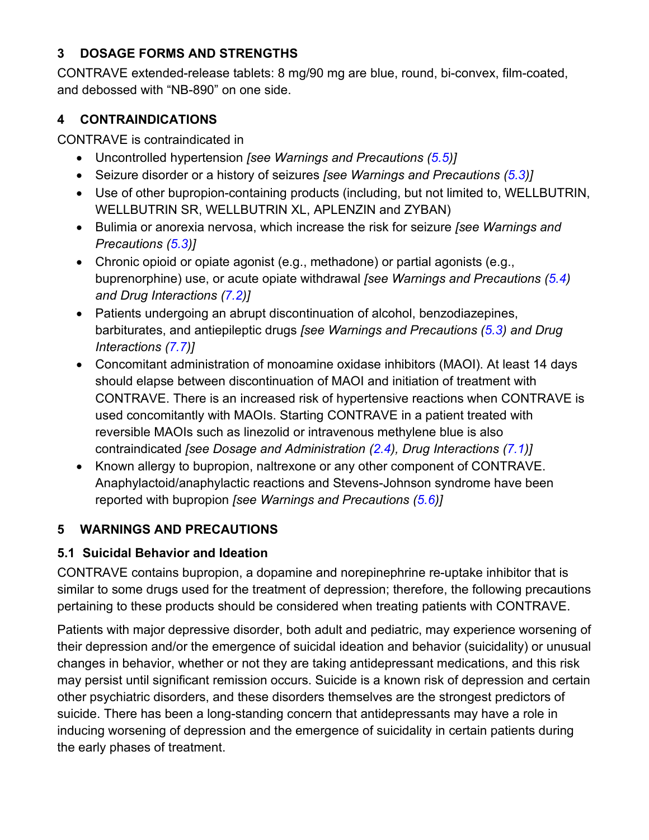#### **DOSAGE FORMS AND STRENGTHS** 3

CONTRAVE extended-release tablets: 8 mg/90 mg are blue, round, bi-convex, film-coated, and debossed with "NB-890" on one side.

#### $\overline{\mathbf{4}}$ **CONTRAINDICATIONS**

CONTRAVE is contraindicated in

- Uncontrolled hypertension [see Warnings and Precautions (5.5)]
- Seizure disorder or a history of seizures [see Warnings and Precautions (5.3)]
- Use of other bupropion-containing products (including, but not limited to, WELLBUTRIN, WELLBUTRIN SR, WELLBUTRIN XL, APLENZIN and ZYBAN)
- Bulimia or anorexia nervosa, which increase the risk for seizure [see Warnings and Precautions (5.3)]
- Chronic opioid or opiate agonist (e.g., methadone) or partial agonists (e.g., buprenorphine) use, or acute opiate withdrawal [see Warnings and Precautions (5.4) and Drug Interactions (7.2)]
- Patients undergoing an abrupt discontinuation of alcohol, benzodiazepines, barbiturates, and antiepileptic drugs *[see Warnings and Precautions (5.3) and Drug* Interactions (7.7)]
- Concomitant administration of monoamine oxidase inhibitors (MAOI). At least 14 days should elapse between discontinuation of MAOI and initiation of treatment with CONTRAVE. There is an increased risk of hypertensive reactions when CONTRAVE is used concomitantly with MAOIs. Starting CONTRAVE in a patient treated with reversible MAOIs such as linezolid or intravenous methylene blue is also contraindicated [see Dosage and Administration (2.4), Drug Interactions (7.1)]
- Known allergy to bupropion, naltrexone or any other component of CONTRAVE. Anaphylactoid/anaphylactic reactions and Stevens-Johnson syndrome have been reported with bupropion [see Warnings and Precautions (5.6)]

#### **WARNINGS AND PRECAUTIONS** 5

# 5.1 Suicidal Behavior and Ideation

CONTRAVE contains bupropion, a dopamine and norepinephrine re-uptake inhibitor that is similar to some drugs used for the treatment of depression; therefore, the following precautions pertaining to these products should be considered when treating patients with CONTRAVE.

Patients with major depressive disorder, both adult and pediatric, may experience worsening of their depression and/or the emergence of suicidal ideation and behavior (suicidality) or unusual changes in behavior, whether or not they are taking antidepressant medications, and this risk may persist until significant remission occurs. Suicide is a known risk of depression and certain other psychiatric disorders, and these disorders themselves are the strongest predictors of suicide. There has been a long-standing concern that antidepressants may have a role in inducing worsening of depression and the emergence of suicidality in certain patients during the early phases of treatment.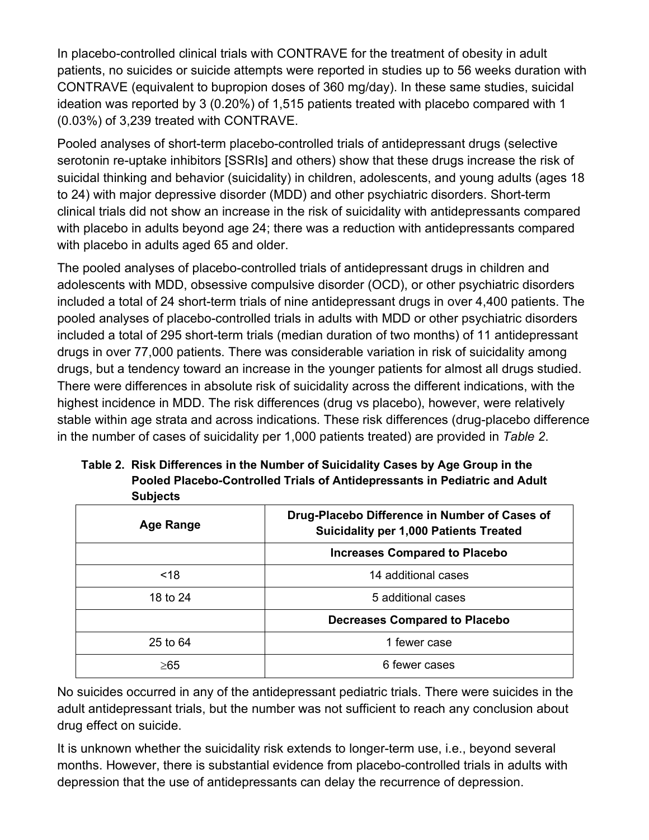In placebo-controlled clinical trials with CONTRAVE for the treatment of obesity in adult patients, no suicides or suicide attempts were reported in studies up to 56 weeks duration with CONTRAVE (equivalent to bupropion doses of 360 mg/day). In these same studies, suicidal ideation was reported by 3 (0.20%) of 1,515 patients treated with placebo compared with 1 (0.03%) of 3,239 treated with CONTRAVE.

Pooled analyses of short-term placebo-controlled trials of antidepressant drugs (selective serotonin re-uptake inhibitors [SSRIs] and others) show that these drugs increase the risk of suicidal thinking and behavior (suicidality) in children, adolescents, and young adults (ages 18 to 24) with major depressive disorder (MDD) and other psychiatric disorders. Short-term clinical trials did not show an increase in the risk of suicidality with antidepressants compared with placebo in adults beyond age 24; there was a reduction with antidepressants compared with placebo in adults aged 65 and older.

The pooled analyses of placebo-controlled trials of antidepressant drugs in children and adolescents with MDD, obsessive compulsive disorder (OCD), or other psychiatric disorders included a total of 24 short-term trials of nine antidepressant drugs in over 4,400 patients. The pooled analyses of placebo-controlled trials in adults with MDD or other psychiatric disorders included a total of 295 short-term trials (median duration of two months) of 11 antidepressant drugs in over 77,000 patients. There was considerable variation in risk of suicidality among drugs, but a tendency toward an increase in the younger patients for almost all drugs studied. There were differences in absolute risk of suicidality across the different indications, with the highest incidence in MDD. The risk differences (drug vs placebo), however, were relatively stable within age strata and across indications. These risk differences (drug-placebo difference in the number of cases of suicidality per 1,000 patients treated) are provided in Table 2.

| Table 2. Risk Differences in the Number of Suicidality Cases by Age Group in the |
|----------------------------------------------------------------------------------|
| Pooled Placebo-Controlled Trials of Antidepressants in Pediatric and Adult       |
| <b>Subjects</b>                                                                  |

| Age Range            | Drug-Placebo Difference in Number of Cases of<br><b>Suicidality per 1,000 Patients Treated</b> |  |
|----------------------|------------------------------------------------------------------------------------------------|--|
|                      | <b>Increases Compared to Placebo</b>                                                           |  |
| ~18                  | 14 additional cases                                                                            |  |
| 18 to 24             | 5 additional cases                                                                             |  |
|                      | <b>Decreases Compared to Placebo</b>                                                           |  |
| $25$ to $64$         | 1 fewer case                                                                                   |  |
| 6 fewer cases<br>≥65 |                                                                                                |  |

No suicides occurred in any of the antidepressant pediatric trials. There were suicides in the adult antidepressant trials, but the number was not sufficient to reach any conclusion about drug effect on suicide.

It is unknown whether the suicidality risk extends to longer-term use, i.e., beyond several months. However, there is substantial evidence from placebo-controlled trials in adults with depression that the use of antidepressants can delay the recurrence of depression.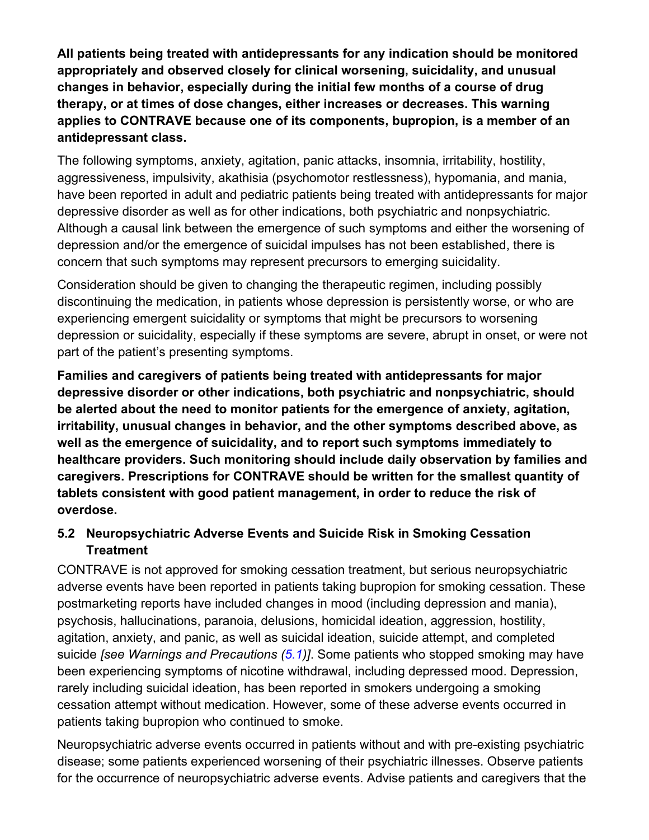All patients being treated with antidepressants for any indication should be monitored appropriately and observed closely for clinical worsening, suicidality, and unusual changes in behavior, especially during the initial few months of a course of drug therapy, or at times of dose changes, either increases or decreases. This warning applies to CONTRAVE because one of its components, bupropion, is a member of an antidepressant class.

The following symptoms, anxiety, agitation, panic attacks, insomnia, irritability, hostility, aggressiveness, impulsivity, akathisia (psychomotor restlessness), hypomania, and mania, have been reported in adult and pediatric patients being treated with antidepressants for major depressive disorder as well as for other indications, both psychiatric and nonpsychiatric. Although a causal link between the emergence of such symptoms and either the worsening of depression and/or the emergence of suicidal impulses has not been established, there is concern that such symptoms may represent precursors to emerging suicidality.

Consideration should be given to changing the therapeutic regimen, including possibly discontinuing the medication, in patients whose depression is persistently worse, or who are experiencing emergent suicidality or symptoms that might be precursors to worsening depression or suicidality, especially if these symptoms are severe, abrupt in onset, or were not part of the patient's presenting symptoms.

Families and caregivers of patients being treated with antidepressants for major depressive disorder or other indications, both psychiatric and nonpsychiatric, should be alerted about the need to monitor patients for the emergence of anxiety, agitation. irritability, unusual changes in behavior, and the other symptoms described above, as well as the emergence of suicidality, and to report such symptoms immediately to healthcare providers. Such monitoring should include daily observation by families and caregivers. Prescriptions for CONTRAVE should be written for the smallest quantity of tablets consistent with good patient management, in order to reduce the risk of overdose.

## 5.2 Neuropsychiatric Adverse Events and Suicide Risk in Smoking Cessation **Treatment**

CONTRAVE is not approved for smoking cessation treatment, but serious neuropsychiatric adverse events have been reported in patients taking bupropion for smoking cessation. These postmarketing reports have included changes in mood (including depression and mania), psychosis, hallucinations, paranoia, delusions, homicidal ideation, aggression, hostility, agitation, anxiety, and panic, as well as suicidal ideation, suicide attempt, and completed suicide *[see Warnings and Precautions (5.1)]*. Some patients who stopped smoking may have been experiencing symptoms of nicotine withdrawal, including depressed mood. Depression, rarely including suicidal ideation, has been reported in smokers undergoing a smoking cessation attempt without medication. However, some of these adverse events occurred in patients taking bupropion who continued to smoke.

Neuropsychiatric adverse events occurred in patients without and with pre-existing psychiatric disease; some patients experienced worsening of their psychiatric illnesses. Observe patients for the occurrence of neuropsychiatric adverse events. Advise patients and caregivers that the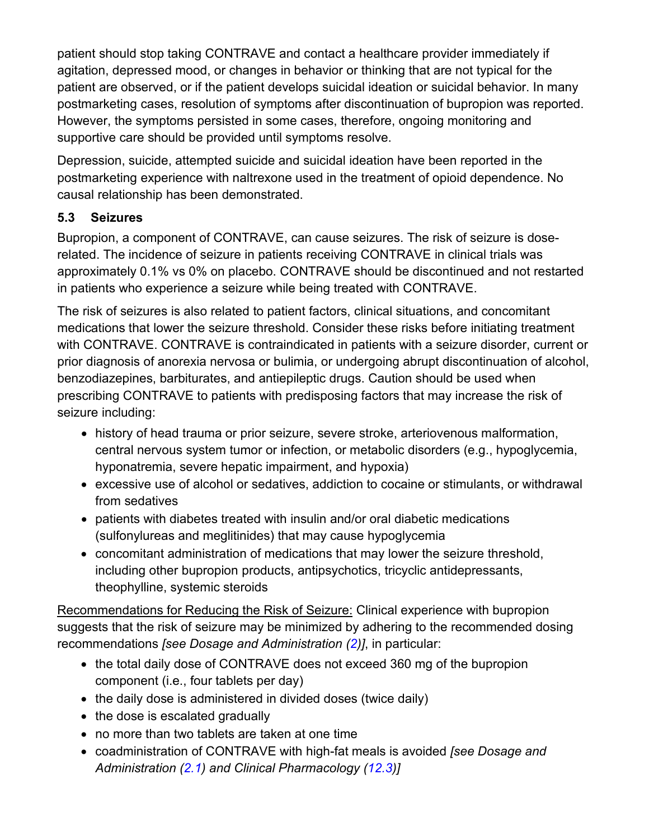patient should stop taking CONTRAVE and contact a healthcare provider immediately if agitation, depressed mood, or changes in behavior or thinking that are not typical for the patient are observed, or if the patient develops suicidal ideation or suicidal behavior. In many postmarketing cases, resolution of symptoms after discontinuation of bupropion was reported. However, the symptoms persisted in some cases, therefore, ongoing monitoring and supportive care should be provided until symptoms resolve.

Depression, suicide, attempted suicide and suicidal ideation have been reported in the postmarketing experience with naltrexone used in the treatment of opioid dependence. No causal relationship has been demonstrated.

#### $5.3$ **Seizures**

Bupropion, a component of CONTRAVE, can cause seizures. The risk of seizure is doserelated. The incidence of seizure in patients receiving CONTRAVE in clinical trials was approximately 0.1% vs 0% on placebo. CONTRAVE should be discontinued and not restarted in patients who experience a seizure while being treated with CONTRAVE.

The risk of seizures is also related to patient factors, clinical situations, and concomitant medications that lower the seizure threshold. Consider these risks before initiating treatment with CONTRAVE. CONTRAVE is contraindicated in patients with a seizure disorder, current or prior diagnosis of anorexia nervosa or bulimia, or undergoing abrupt discontinuation of alcohol, benzodiazepines, barbiturates, and antiepileptic drugs. Caution should be used when prescribing CONTRAVE to patients with predisposing factors that may increase the risk of seizure including:

- history of head trauma or prior seizure, severe stroke, arteriovenous malformation, central nervous system tumor or infection, or metabolic disorders (e.g., hypoglycemia, hyponatremia, severe hepatic impairment, and hypoxia)
- excessive use of alcohol or sedatives, addiction to cocaine or stimulants, or withdrawal from sedatives
- patients with diabetes treated with insulin and/or oral diabetic medications (sulfonylureas and meglitinides) that may cause hypoglycemia
- concomitant administration of medications that may lower the seizure threshold, including other bupropion products, antipsychotics, tricyclic antidepressants, theophylline, systemic steroids

Recommendations for Reducing the Risk of Seizure: Clinical experience with bupropion suggests that the risk of seizure may be minimized by adhering to the recommended dosing recommendations [see Dosage and Administration (2)], in particular:

- the total daily dose of CONTRAVE does not exceed 360 mg of the bupropion component (i.e., four tablets per day)
- the daily dose is administered in divided doses (twice daily)
- the dose is escalated gradually
- no more than two tablets are taken at one time
- coadministration of CONTRAVE with high-fat meals is avoided [see Dosage and Administration (2.1) and Clinical Pharmacology (12.3)]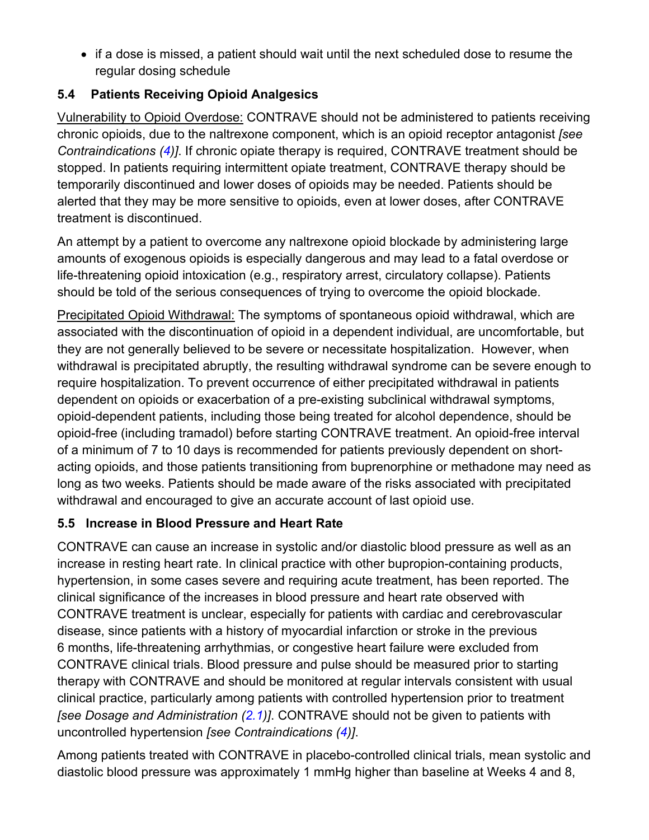• if a dose is missed, a patient should wait until the next scheduled dose to resume the regular dosing schedule

#### $5.4$ **Patients Receiving Opioid Analgesics**

Vulnerability to Opioid Overdose: CONTRAVE should not be administered to patients receiving chronic opioids, due to the naltrexone component, which is an opioid receptor antagonist (see Contraindications (4)]. If chronic opiate therapy is required, CONTRAVE treatment should be stopped. In patients requiring intermittent opiate treatment, CONTRAVE therapy should be temporarily discontinued and lower doses of opioids may be needed. Patients should be alerted that they may be more sensitive to opioids, even at lower doses, after CONTRAVE treatment is discontinued.

An attempt by a patient to overcome any naltrexone opioid blockade by administering large amounts of exogenous opioids is especially dangerous and may lead to a fatal overdose or life-threatening opioid intoxication (e.g., respiratory arrest, circulatory collapse). Patients should be told of the serious consequences of trying to overcome the opioid blockade.

Precipitated Opioid Withdrawal: The symptoms of spontaneous opioid withdrawal, which are associated with the discontinuation of opioid in a dependent individual, are uncomfortable, but they are not generally believed to be severe or necessitate hospitalization. However, when withdrawal is precipitated abruptly, the resulting withdrawal syndrome can be severe enough to require hospitalization. To prevent occurrence of either precipitated withdrawal in patients dependent on opioids or exacerbation of a pre-existing subclinical withdrawal symptoms, opioid-dependent patients, including those being treated for alcohol dependence, should be opioid-free (including tramadol) before starting CONTRAVE treatment. An opioid-free interval of a minimum of 7 to 10 days is recommended for patients previously dependent on shortacting opioids, and those patients transitioning from buprenorphine or methadone may need as long as two weeks. Patients should be made aware of the risks associated with precipitated withdrawal and encouraged to give an accurate account of last opioid use.

## 5.5 Increase in Blood Pressure and Heart Rate

CONTRAVE can cause an increase in systolic and/or diastolic blood pressure as well as an increase in resting heart rate. In clinical practice with other bupropion-containing products, hypertension, in some cases severe and requiring acute treatment, has been reported. The clinical significance of the increases in blood pressure and heart rate observed with CONTRAVE treatment is unclear, especially for patients with cardiac and cerebrovascular disease, since patients with a history of myocardial infarction or stroke in the previous 6 months, life-threatening arrhythmias, or congestive heart failure were excluded from CONTRAVE clinical trials. Blood pressure and pulse should be measured prior to starting therapy with CONTRAVE and should be monitored at regular intervals consistent with usual clinical practice, particularly among patients with controlled hypertension prior to treatment [see Dosage and Administration (2.1)]. CONTRAVE should not be given to patients with uncontrolled hypertension [see Contraindications (4)].

Among patients treated with CONTRAVE in placebo-controlled clinical trials, mean systolic and diastolic blood pressure was approximately 1 mmHg higher than baseline at Weeks 4 and 8,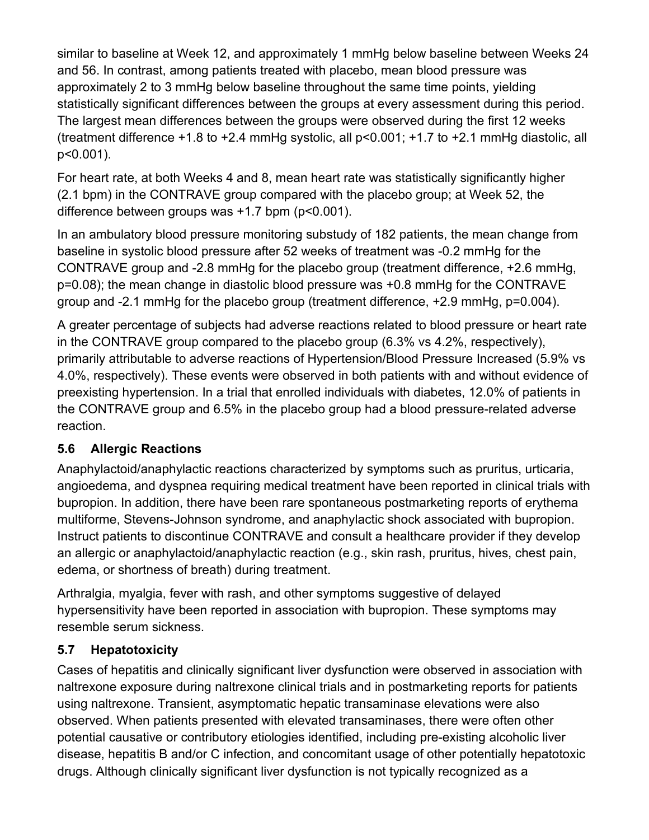similar to baseline at Week 12, and approximately 1 mmHg below baseline between Weeks 24 and 56. In contrast, among patients treated with placebo, mean blood pressure was approximately 2 to 3 mmHg below baseline throughout the same time points, yielding statistically significant differences between the groups at every assessment during this period. The largest mean differences between the groups were observed during the first 12 weeks (treatment difference +1.8 to +2.4 mmHg systolic, all p<0.001; +1.7 to +2.1 mmHg diastolic, all  $p<0.001$ ).

For heart rate, at both Weeks 4 and 8, mean heart rate was statistically significantly higher (2.1 bpm) in the CONTRAVE group compared with the placebo group; at Week 52, the difference between groups was  $+1.7$  bpm ( $p<0.001$ ).

In an ambulatory blood pressure monitoring substudy of 182 patients, the mean change from baseline in systolic blood pressure after 52 weeks of treatment was -0.2 mmHq for the CONTRAVE group and -2.8 mmHg for the placebo group (treatment difference, +2.6 mmHg, p=0.08); the mean change in diastolic blood pressure was +0.8 mmHg for the CONTRAVE group and -2.1 mmHg for the placebo group (treatment difference, +2.9 mmHg, p=0.004).

A greater percentage of subjects had adverse reactions related to blood pressure or heart rate in the CONTRAVE group compared to the placebo group  $(6.3\% \text{ vs } 4.2\%$ , respectively), primarily attributable to adverse reactions of Hypertension/Blood Pressure Increased (5.9% vs 4.0%, respectively). These events were observed in both patients with and without evidence of preexisting hypertension. In a trial that enrolled individuals with diabetes, 12.0% of patients in the CONTRAVE group and 6.5% in the placebo group had a blood pressure-related adverse reaction.

#### **Allergic Reactions**  $5.6$

Anaphylactoid/anaphylactic reactions characterized by symptoms such as pruritus, urticaria, angioedema, and dyspnea requiring medical treatment have been reported in clinical trials with bupropion. In addition, there have been rare spontaneous postmarketing reports of erythema multiforme, Stevens-Johnson syndrome, and anaphylactic shock associated with bupropion. Instruct patients to discontinue CONTRAVE and consult a healthcare provider if they develop an allergic or anaphylactoid/anaphylactic reaction (e.g., skin rash, pruritus, hives, chest pain, edema, or shortness of breath) during treatment.

Arthralgia, myalgia, fever with rash, and other symptoms suggestive of delayed hypersensitivity have been reported in association with bupropion. These symptoms may resemble serum sickness.

#### $5.7$ **Hepatotoxicity**

Cases of hepatitis and clinically significant liver dysfunction were observed in association with naltrexone exposure during naltrexone clinical trials and in postmarketing reports for patients using naltrexone. Transient, asymptomatic hepatic transaminase elevations were also observed. When patients presented with elevated transaminases, there were often other potential causative or contributory etiologies identified, including pre-existing alcoholic liver disease, hepatitis B and/or C infection, and concomitant usage of other potentially hepatotoxic drugs. Although clinically significant liver dysfunction is not typically recognized as a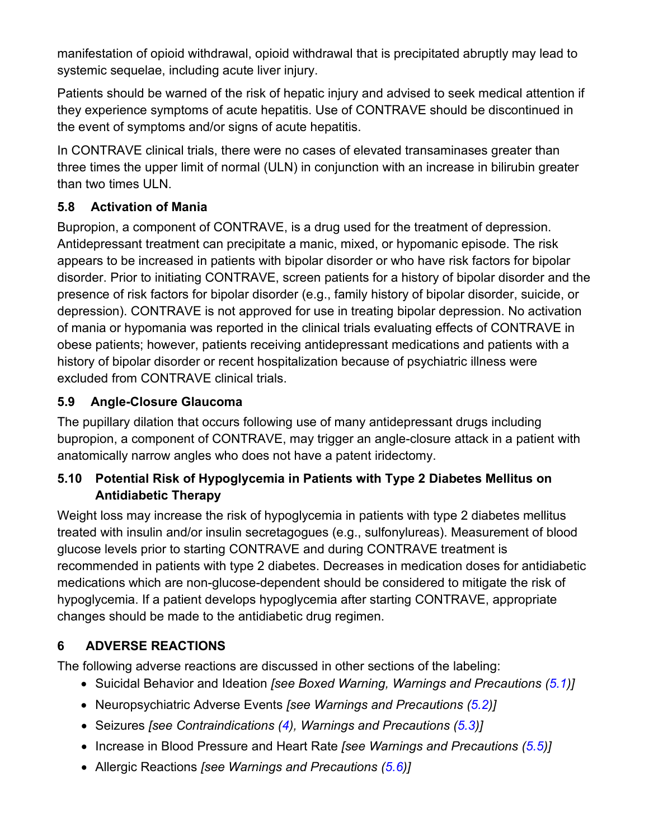manifestation of opioid withdrawal, opioid withdrawal that is precipitated abruptly may lead to systemic sequelae, including acute liver injury.

Patients should be warned of the risk of hepatic injury and advised to seek medical attention if they experience symptoms of acute hepatitis. Use of CONTRAVE should be discontinued in the event of symptoms and/or signs of acute hepatitis.

In CONTRAVE clinical trials, there were no cases of elevated transaminases greater than three times the upper limit of normal (ULN) in conjunction with an increase in bilirubin greater than two times ULN.

#### $5.8$ **Activation of Mania**

Bupropion, a component of CONTRAVE, is a drug used for the treatment of depression. Antidepressant treatment can precipitate a manic, mixed, or hypomanic episode. The risk appears to be increased in patients with bipolar disorder or who have risk factors for bipolar disorder. Prior to initiating CONTRAVE, screen patients for a history of bipolar disorder and the presence of risk factors for bipolar disorder (e.g., family history of bipolar disorder, suicide, or depression). CONTRAVE is not approved for use in treating bipolar depression. No activation of mania or hypomania was reported in the clinical trials evaluating effects of CONTRAVE in obese patients; however, patients receiving antidepressant medications and patients with a history of bipolar disorder or recent hospitalization because of psychiatric illness were excluded from CONTRAVE clinical trials.

#### $5.9$ **Angle-Closure Glaucoma**

The pupillary dilation that occurs following use of many antidepressant drugs including bupropion, a component of CONTRAVE, may trigger an angle-closure attack in a patient with anatomically narrow angles who does not have a patent iridectomy.

## 5.10 Potential Risk of Hypoglycemia in Patients with Type 2 Diabetes Mellitus on **Antidiabetic Therapy**

Weight loss may increase the risk of hypoglycemia in patients with type 2 diabetes mellitus treated with insulin and/or insulin secretagogues (e.g., sulfonylureas). Measurement of blood glucose levels prior to starting CONTRAVE and during CONTRAVE treatment is recommended in patients with type 2 diabetes. Decreases in medication doses for antidiabetic medications which are non-glucose-dependent should be considered to mitigate the risk of hypoglycemia. If a patient develops hypoglycemia after starting CONTRAVE, appropriate changes should be made to the antidiabetic drug regimen.

#### **ADVERSE REACTIONS** 6

The following adverse reactions are discussed in other sections of the labeling:

- Suicidal Behavior and Ideation [see Boxed Warning, Warnings and Precautions (5.1)]
- Neuropsychiatric Adverse Events [see Warnings and Precautions (5.2)]
- Seizures [see Contraindications (4), Warnings and Precautions (5.3)]
- Increase in Blood Pressure and Heart Rate [see Warnings and Precautions (5.5)]
- Allergic Reactions [see Warnings and Precautions (5.6)]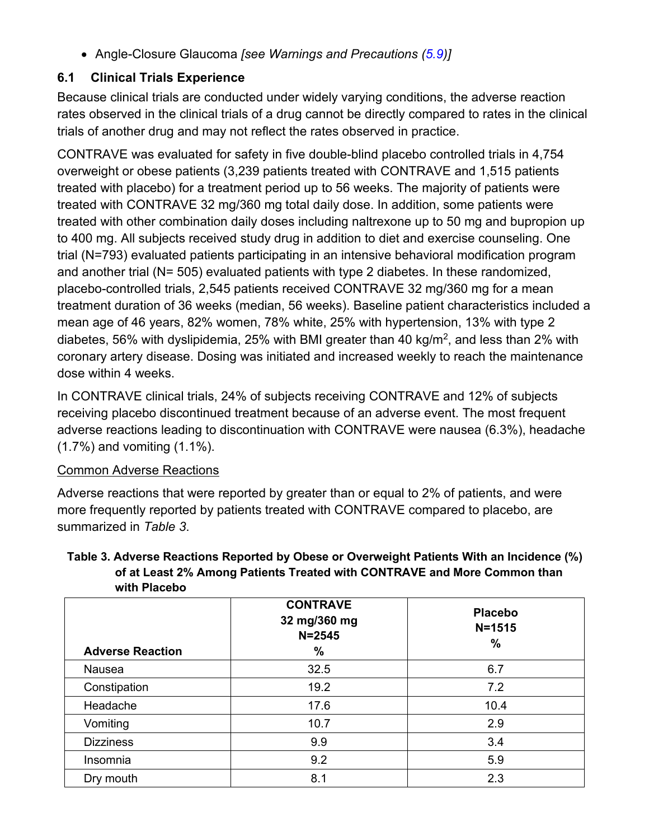• Angle-Closure Glaucoma [see Warnings and Precautions (5.9)]

# **6.1 Clinical Trials Experience**

Because clinical trials are conducted under widely varying conditions, the adverse reaction rates observed in the clinical trials of a drug cannot be directly compared to rates in the clinical trials of another drug and may not reflect the rates observed in practice.

CONTRAVE was evaluated for safety in five double-blind placebo controlled trials in 4,754 overweight or obese patients (3,239 patients treated with CONTRAVE and 1,515 patients treated with placebo) for a treatment period up to 56 weeks. The majority of patients were treated with CONTRAVE 32 mg/360 mg total daily dose. In addition, some patients were treated with other combination daily doses including naltrexone up to 50 mg and bupropion up to 400 mg. All subjects received study drug in addition to diet and exercise counseling. One trial (N=793) evaluated patients participating in an intensive behavioral modification program and another trial (N= 505) evaluated patients with type 2 diabetes. In these randomized, placebo-controlled trials, 2,545 patients received CONTRAVE 32 mg/360 mg for a mean treatment duration of 36 weeks (median, 56 weeks). Baseline patient characteristics included a mean age of 46 years, 82% women, 78% white, 25% with hypertension, 13% with type 2 diabetes, 56% with dyslipidemia, 25% with BMI greater than 40  $kg/m<sup>2</sup>$ , and less than 2% with coronary artery disease. Dosing was initiated and increased weekly to reach the maintenance dose within 4 weeks.

In CONTRAVE clinical trials, 24% of subjects receiving CONTRAVE and 12% of subjects receiving placebo discontinued treatment because of an adverse event. The most frequent adverse reactions leading to discontinuation with CONTRAVE were nausea (6.3%), headache  $(1.7\%)$  and vomiting  $(1.1\%)$ .

## **Common Adverse Reactions**

Adverse reactions that were reported by greater than or equal to 2% of patients, and were more frequently reported by patients treated with CONTRAVE compared to placebo, are summarized in Table 3.

#### Table 3. Adverse Reactions Reported by Obese or Overweight Patients With an Incidence (%) of at Least 2% Among Patients Treated with CONTRAVE and More Common than with Placebo

| <b>Adverse Reaction</b> | <b>CONTRAVE</b><br>32 mg/360 mg<br>$N = 2545$<br>% | <b>Placebo</b><br>$N = 1515$<br>$\%$ |
|-------------------------|----------------------------------------------------|--------------------------------------|
| Nausea                  | 32.5                                               | 6.7                                  |
| Constipation            | 19.2                                               | 7.2                                  |
| Headache                | 17.6                                               | 10.4                                 |
| Vomiting                | 10.7                                               | 2.9                                  |
| <b>Dizziness</b>        | 9.9                                                | 3.4                                  |
| Insomnia                | 9.2                                                | 5.9                                  |
| Dry mouth               | 8.1                                                | 2.3                                  |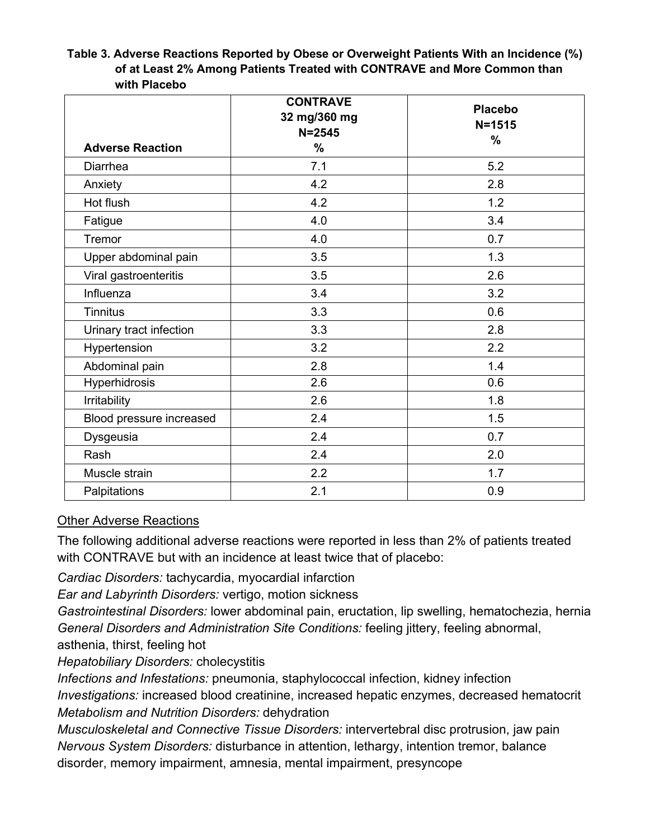Table 3. Adverse Reactions Reported by Obese or Overweight Patients With an Incidence (%) of at Least 2% Among Patients Treated with CONTRAVE and More Common than with Placebo

|                          | <b>CONTRAVE</b><br>32 mg/360 mg | <b>Placebo</b> |
|--------------------------|---------------------------------|----------------|
|                          | $N = 2545$                      | $N = 1515$     |
| <b>Adverse Reaction</b>  | $\%$                            | $\%$           |
| Diarrhea                 | 7.1                             | 5.2            |
| Anxiety                  | 4.2                             | 2.8            |
| Hot flush                | 4.2                             | 1.2            |
| Fatigue                  | 4.0                             | 3.4            |
| Tremor                   | 4.0                             | 0.7            |
| Upper abdominal pain     | 3.5                             | 1.3            |
| Viral gastroenteritis    | 3.5                             | 2.6            |
| Influenza                | 3.4                             | 3.2            |
| <b>Tinnitus</b>          | 3.3                             | 0.6            |
| Urinary tract infection  | 3.3                             | 2.8            |
| Hypertension             | 3.2                             | 2.2            |
| Abdominal pain           | 2.8                             | 1.4            |
| Hyperhidrosis            | 2.6                             | 0.6            |
| Irritability             | 2.6                             | 1.8            |
| Blood pressure increased | 2.4                             | 1.5            |
| Dysgeusia                | 2.4                             | 0.7            |
| Rash                     | 2.4                             | 2.0            |
| Muscle strain            | 2.2                             | 1.7            |
| Palpitations             | 2.1                             | 0.9            |

### **Other Adverse Reactions**

The following additional adverse reactions were reported in less than 2% of patients treated with CONTRAVE but with an incidence at least twice that of placebo:

Cardiac Disorders: tachycardia, myocardial infarction

Ear and Labyrinth Disorders: vertigo, motion sickness

Gastrointestinal Disorders: lower abdominal pain, eructation, lip swelling, hematochezia, hernia General Disorders and Administration Site Conditions: feeling jittery, feeling abnormal, asthenia, thirst, feeling hot

**Hepatobiliary Disorders: cholecystitis** 

Infections and Infestations: pneumonia, staphylococcal infection, kidney infection Investigations: increased blood creatinine, increased hepatic enzymes, decreased hematocrit Metabolism and Nutrition Disorders: dehydration

Musculoskeletal and Connective Tissue Disorders: intervertebral disc protrusion, jaw pain Nervous System Disorders: disturbance in attention, lethargy, intention tremor, balance disorder, memory impairment, amnesia, mental impairment, presyncope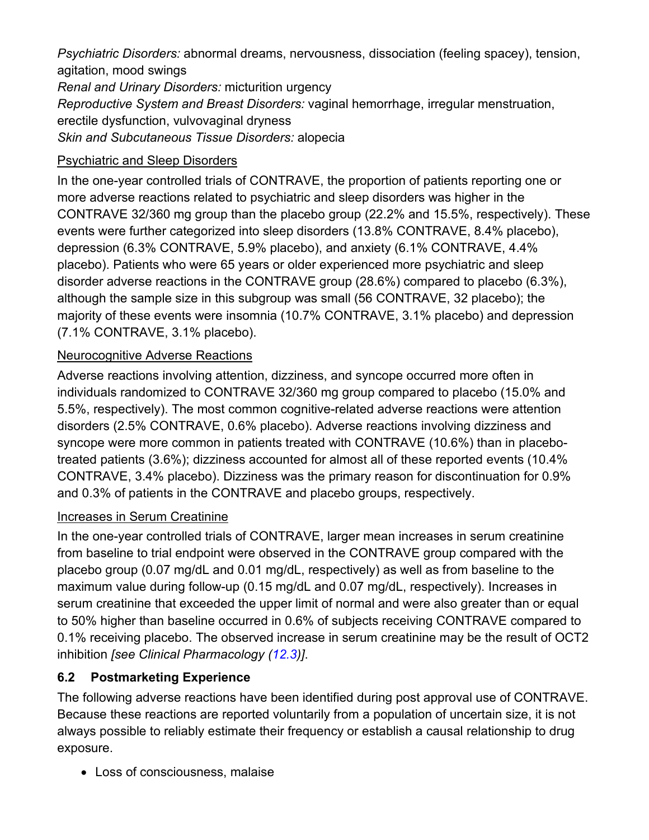Psychiatric Disorders: abnormal dreams, nervousness, dissociation (feeling spacey), tension, agitation, mood swings Renal and Urinary Disorders: micturition urgency Reproductive System and Breast Disorders: vaginal hemorrhage, irregular menstruation,

erectile dysfunction, vulvovaginal dryness

Skin and Subcutaneous Tissue Disorders: alopecia

## **Psychiatric and Sleep Disorders**

In the one-year controlled trials of CONTRAVE, the proportion of patients reporting one or more adverse reactions related to psychiatric and sleep disorders was higher in the CONTRAVE 32/360 mg group than the placebo group (22.2% and 15.5%, respectively). These events were further categorized into sleep disorders (13.8% CONTRAVE, 8.4% placebo), depression (6.3% CONTRAVE, 5.9% placebo), and anxiety (6.1% CONTRAVE, 4.4% placebo). Patients who were 65 years or older experienced more psychiatric and sleep disorder adverse reactions in the CONTRAVE group (28.6%) compared to placebo (6.3%), although the sample size in this subgroup was small (56 CONTRAVE, 32 placebo); the majority of these events were insomnia (10.7% CONTRAVE, 3.1% placebo) and depression (7.1% CONTRAVE, 3.1% placebo).

## **Neurocognitive Adverse Reactions**

Adverse reactions involving attention, dizziness, and syncope occurred more often in individuals randomized to CONTRAVE 32/360 mg group compared to placebo (15.0% and 5.5%, respectively). The most common cognitive-related adverse reactions were attention disorders (2.5% CONTRAVE, 0.6% placebo). Adverse reactions involving dizziness and syncope were more common in patients treated with CONTRAVE (10.6%) than in placebotreated patients (3.6%); dizziness accounted for almost all of these reported events (10.4% CONTRAVE, 3.4% placebo). Dizziness was the primary reason for discontinuation for 0.9% and 0.3% of patients in the CONTRAVE and placebo groups, respectively.

## Increases in Serum Creatinine

In the one-year controlled trials of CONTRAVE, larger mean increases in serum creatinine from baseline to trial endpoint were observed in the CONTRAVE group compared with the placebo group (0.07 mg/dL and 0.01 mg/dL, respectively) as well as from baseline to the maximum value during follow-up (0.15 mg/dL and 0.07 mg/dL, respectively). Increases in serum creatinine that exceeded the upper limit of normal and were also greater than or equal to 50% higher than baseline occurred in 0.6% of subjects receiving CONTRAVE compared to 0.1% receiving placebo. The observed increase in serum creatinine may be the result of OCT2 inhibition [see Clinical Pharmacology (12.3)].

#### $6.2$ **Postmarketing Experience**

The following adverse reactions have been identified during post approval use of CONTRAVE. Because these reactions are reported voluntarily from a population of uncertain size, it is not always possible to reliably estimate their frequency or establish a causal relationship to drug exposure.

• Loss of consciousness, malaise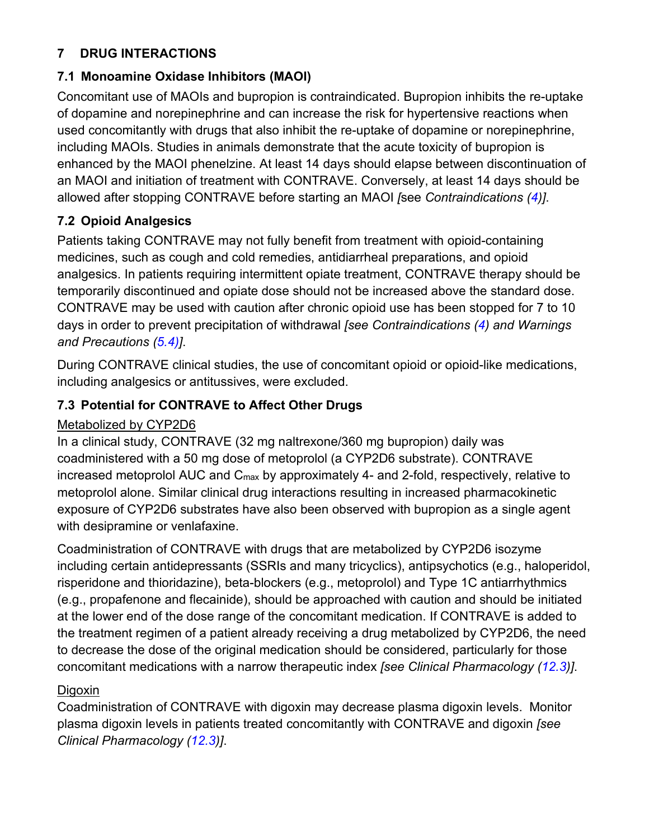#### **DRUG INTERACTIONS**  $\overline{7}$

### 7.1 Monoamine Oxidase Inhibitors (MAOI)

Concomitant use of MAOIs and bupropion is contraindicated. Bupropion inhibits the re-uptake of dopamine and norepinephrine and can increase the risk for hypertensive reactions when used concomitantly with drugs that also inhibit the re-uptake of dopamine or norepinephrine. including MAOIs. Studies in animals demonstrate that the acute toxicity of bupropion is enhanced by the MAOI phenelzine. At least 14 days should elapse between discontinuation of an MAOI and initiation of treatment with CONTRAVE. Conversely, at least 14 days should be allowed after stopping CONTRAVE before starting an MAOI [see Contraindications (4)].

## **7.2 Opioid Analgesics**

Patients taking CONTRAVE may not fully benefit from treatment with opioid-containing medicines, such as cough and cold remedies, antidiarrheal preparations, and opioid analgesics. In patients requiring intermittent opiate treatment, CONTRAVE therapy should be temporarily discontinued and opiate dose should not be increased above the standard dose. CONTRAVE may be used with caution after chronic opioid use has been stopped for 7 to 10 days in order to prevent precipitation of withdrawal [see Contraindications (4) and Warnings and Precautions (5.4)].

During CONTRAVE clinical studies, the use of concomitant opioid or opioid-like medications, including analgesics or antitussives, were excluded.

## 7.3 Potential for CONTRAVE to Affect Other Drugs

## Metabolized by CYP2D6

In a clinical study, CONTRAVE (32 mg naltrexone/360 mg bupropion) daily was coadministered with a 50 mg dose of metoprolol (a CYP2D6 substrate). CONTRAVE increased metoprolol AUC and C<sub>max</sub> by approximately 4- and 2-fold, respectively, relative to metoprolol alone. Similar clinical drug interactions resulting in increased pharmacokinetic exposure of CYP2D6 substrates have also been observed with bupropion as a single agent with desipramine or venlafaxine.

Coadministration of CONTRAVE with drugs that are metabolized by CYP2D6 isozyme including certain antidepressants (SSRIs and many tricyclics), antipsychotics (e.g., haloperidol, risperidone and thioridazine), beta-blockers (e.g., metoprolol) and Type 1C antiarrhythmics (e.g., propafenone and flecainide), should be approached with caution and should be initiated at the lower end of the dose range of the concomitant medication. If CONTRAVE is added to the treatment regimen of a patient already receiving a drug metabolized by CYP2D6, the need to decrease the dose of the original medication should be considered, particularly for those concomitant medications with a narrow therapeutic index [see Clinical Pharmacology (12.3)].

### Digoxin

Coadministration of CONTRAVE with digoxin may decrease plasma digoxin levels. Monitor plasma digoxin levels in patients treated concomitantly with CONTRAVE and digoxin [see Clinical Pharmacology (12.3)].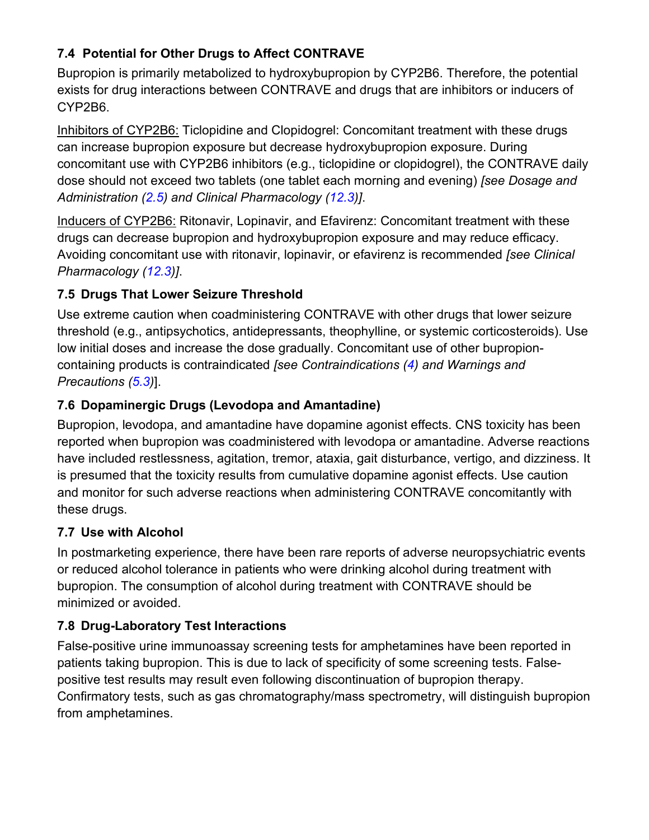# 7.4 Potential for Other Drugs to Affect CONTRAVE

Bupropion is primarily metabolized to hydroxybupropion by CYP2B6. Therefore, the potential exists for drug interactions between CONTRAVE and drugs that are inhibitors or inducers of CYP2B6.

Inhibitors of CYP2B6: Ticlopidine and Clopidogrel: Concomitant treatment with these drugs can increase bupropion exposure but decrease hydroxybupropion exposure. During concomitant use with CYP2B6 inhibitors (e.g., ticlopidine or clopidogrel), the CONTRAVE daily dose should not exceed two tablets (one tablet each morning and evening) [see Dosage and Administration (2.5) and Clinical Pharmacology (12.3)].

Inducers of CYP2B6: Ritonavir, Lopinavir, and Efavirenz: Concomitant treatment with these drugs can decrease bupropion and hydroxybupropion exposure and may reduce efficacy. Avoiding concomitant use with ritonavir, lopinavir, or efavirenz is recommended [see Clinical] Pharmacology (12.3)].

# 7.5 Drugs That Lower Seizure Threshold

Use extreme caution when coadministering CONTRAVE with other drugs that lower seizure threshold (e.g., antipsychotics, antidepressants, theophylline, or systemic corticosteroids). Use low initial doses and increase the dose gradually. Concomitant use of other bupropioncontaining products is contraindicated [see Contraindications (4) and Warnings and Precautions (5.3)].

# 7.6 Dopaminergic Drugs (Levodopa and Amantadine)

Bupropion, levodopa, and amantadine have dopamine agonist effects. CNS toxicity has been reported when bupropion was coadministered with levodopa or amantadine. Adverse reactions have included restlessness, agitation, tremor, ataxia, gait disturbance, vertigo, and dizziness. It is presumed that the toxicity results from cumulative dopamine agonist effects. Use caution and monitor for such adverse reactions when administering CONTRAVE concomitantly with these drugs.

# 7.7 Use with Alcohol

In postmarketing experience, there have been rare reports of adverse neuropsychiatric events or reduced alcohol tolerance in patients who were drinking alcohol during treatment with bupropion. The consumption of alcohol during treatment with CONTRAVE should be minimized or avoided

# 7.8 Drug-Laboratory Test Interactions

False-positive urine immunoassay screening tests for amphetamines have been reported in patients taking bupropion. This is due to lack of specificity of some screening tests. Falsepositive test results may result even following discontinuation of bupropion therapy. Confirmatory tests, such as gas chromatography/mass spectrometry, will distinguish bupropion from amphetamines.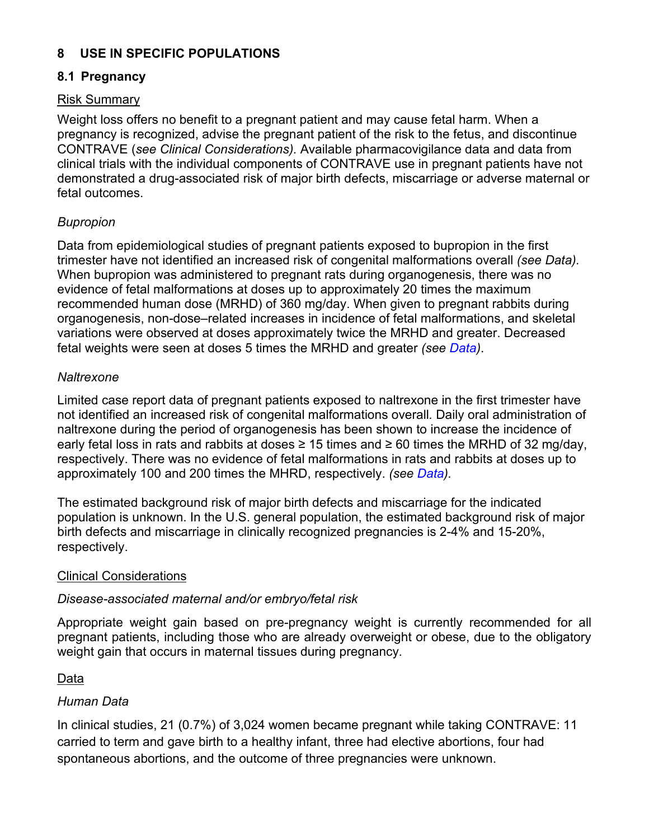#### USE IN SPECIFIC POPULATIONS 8

### 8.1 Pregnancy

### **Risk Summary**

Weight loss offers no benefit to a pregnant patient and may cause fetal harm. When a pregnancy is recognized, advise the pregnant patient of the risk to the fetus, and discontinue CONTRAVE (see Clinical Considerations). Available pharmacovigilance data and data from clinical trials with the individual components of CONTRAVE use in pregnant patients have not demonstrated a drug-associated risk of major birth defects, miscarriage or adverse maternal or fetal outcomes.

### **Bupropion**

Data from epidemiological studies of pregnant patients exposed to bupropion in the first trimester have not identified an increased risk of congenital malformations overall (see Data). When bupropion was administered to pregnant rats during organogenesis, there was no evidence of fetal malformations at doses up to approximately 20 times the maximum recommended human dose (MRHD) of 360 mg/day. When given to pregnant rabbits during organogenesis, non-dose-related increases in incidence of fetal malformations, and skeletal variations were observed at doses approximately twice the MRHD and greater. Decreased fetal weights were seen at doses 5 times the MRHD and greater (see Data).

#### Naltrexone

Limited case report data of pregnant patients exposed to naltrexone in the first trimester have not identified an increased risk of congenital malformations overall. Daily oral administration of naltrexone during the period of organogenesis has been shown to increase the incidence of early fetal loss in rats and rabbits at doses  $\geq 15$  times and  $\geq 60$  times the MRHD of 32 mg/day. respectively. There was no evidence of fetal malformations in rats and rabbits at doses up to approximately 100 and 200 times the MHRD, respectively. (see Data).

The estimated background risk of major birth defects and miscarriage for the indicated population is unknown. In the U.S. general population, the estimated background risk of major birth defects and miscarriage in clinically recognized pregnancies is 2-4% and 15-20%. respectively.

#### **Clinical Considerations**

### Disease-associated maternal and/or embryo/fetal risk

Appropriate weight gain based on pre-pregnancy weight is currently recommended for all pregnant patients, including those who are already overweight or obese, due to the obligatory weight gain that occurs in maternal tissues during pregnancy.

### Data

### Human Data

In clinical studies, 21 (0.7%) of 3,024 women became pregnant while taking CONTRAVE: 11 carried to term and gave birth to a healthy infant, three had elective abortions, four had spontaneous abortions, and the outcome of three pregnancies were unknown.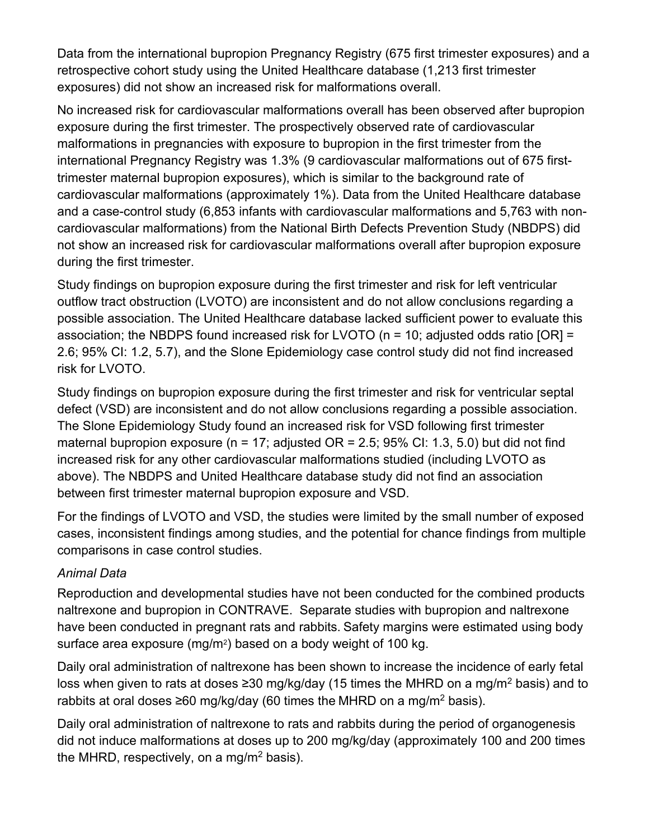Data from the international bupropion Pregnancy Registry (675 first trimester exposures) and a retrospective cohort study using the United Healthcare database (1,213 first trimester exposures) did not show an increased risk for malformations overall.

No increased risk for cardiovascular malformations overall has been observed after bupropion exposure during the first trimester. The prospectively observed rate of cardiovascular malformations in pregnancies with exposure to bupropion in the first trimester from the international Pregnancy Registry was 1.3% (9 cardiovascular malformations out of 675 firsttrimester maternal bupropion exposures), which is similar to the background rate of cardiovascular malformations (approximately 1%). Data from the United Healthcare database and a case-control study (6,853 infants with cardiovascular malformations and 5,763 with noncardiovascular malformations) from the National Birth Defects Prevention Study (NBDPS) did not show an increased risk for cardiovascular malformations overall after bupropion exposure during the first trimester.

Study findings on bupropion exposure during the first trimester and risk for left ventricular outflow tract obstruction (LVOTO) are inconsistent and do not allow conclusions regarding a possible association. The United Healthcare database lacked sufficient power to evaluate this association; the NBDPS found increased risk for LVOTO ( $n = 10$ ; adjusted odds ratio [OR] = 2.6; 95% CI: 1.2, 5.7), and the Slone Epidemiology case control study did not find increased risk for LVOTO.

Study findings on bupropion exposure during the first trimester and risk for ventricular septal defect (VSD) are inconsistent and do not allow conclusions regarding a possible association. The Slone Epidemiology Study found an increased risk for VSD following first trimester maternal bupropion exposure ( $n = 17$ ; adjusted OR = 2.5; 95% CI: 1.3, 5.0) but did not find increased risk for any other cardiovascular malformations studied (including LVOTO as above). The NBDPS and United Healthcare database study did not find an association between first trimester maternal bupropion exposure and VSD.

For the findings of LVOTO and VSD, the studies were limited by the small number of exposed cases, inconsistent findings among studies, and the potential for chance findings from multiple comparisons in case control studies.

# **Animal Data**

Reproduction and developmental studies have not been conducted for the combined products naltrexone and bupropion in CONTRAVE. Separate studies with bupropion and naltrexone have been conducted in pregnant rats and rabbits. Safety margins were estimated using body surface area exposure (mg/m<sup>2</sup>) based on a body weight of 100 kg.

Daily oral administration of naltrexone has been shown to increase the incidence of early fetal loss when given to rats at doses  $\geq$ 30 mg/kg/day (15 times the MHRD on a mg/m<sup>2</sup> basis) and to rabbits at oral doses  $\geq 60$  mg/kg/day (60 times the MHRD on a mg/m<sup>2</sup> basis).

Daily oral administration of naltrexone to rats and rabbits during the period of organogenesis did not induce malformations at doses up to 200 mg/kg/day (approximately 100 and 200 times the MHRD, respectively, on a mg/m<sup>2</sup> basis).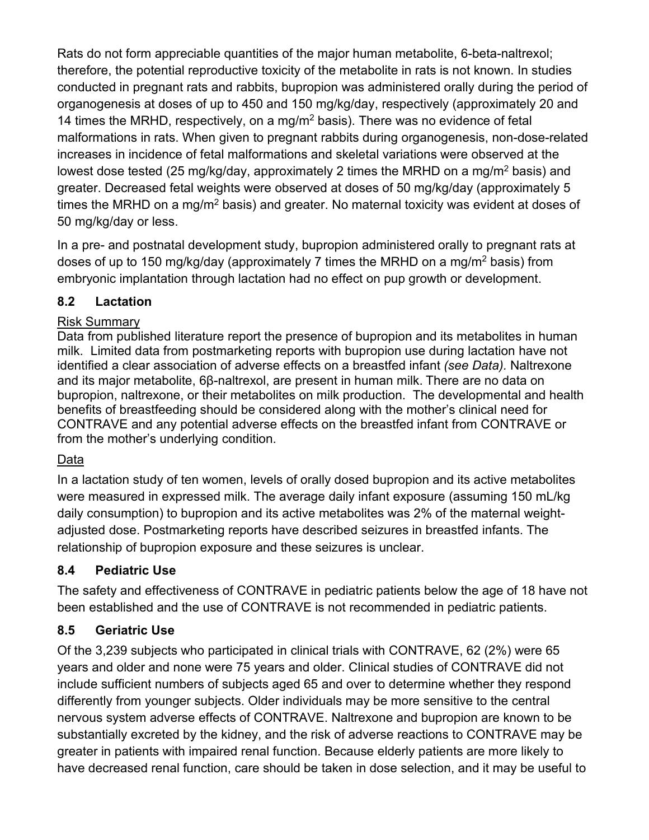Rats do not form appreciable quantities of the major human metabolite, 6-beta-naltrexol; therefore, the potential reproductive toxicity of the metabolite in rats is not known. In studies conducted in pregnant rats and rabbits, bupropion was administered orally during the period of organogenesis at doses of up to 450 and 150 mg/kg/day, respectively (approximately 20 and 14 times the MRHD, respectively, on a mg/m<sup>2</sup> basis). There was no evidence of fetal malformations in rats. When given to pregnant rabbits during organogenesis, non-dose-related increases in incidence of fetal malformations and skeletal variations were observed at the lowest dose tested (25 mg/kg/day, approximately 2 times the MRHD on a mg/m<sup>2</sup> basis) and greater. Decreased fetal weights were observed at doses of 50 mg/kg/day (approximately 5 times the MRHD on a mg/m<sup>2</sup> basis) and greater. No maternal toxicity was evident at doses of 50 mg/kg/day or less.

In a pre- and postnatal development study, bupropion administered orally to pregnant rats at doses of up to 150 mg/kg/day (approximately 7 times the MRHD on a mg/m<sup>2</sup> basis) from embryonic implantation through lactation had no effect on pup growth or development.

#### $8.2$ Lactation

### **Risk Summary**

Data from published literature report the presence of bupropion and its metabolites in human milk. Limited data from postmarketing reports with bupropion use during lactation have not identified a clear association of adverse effects on a breastfed infant (see Data). Naltrexone and its major metabolite, 6ß-naltrexol, are present in human milk. There are no data on bupropion, naltrexone, or their metabolites on milk production. The developmental and health benefits of breastfeeding should be considered along with the mother's clinical need for CONTRAVE and any potential adverse effects on the breastfed infant from CONTRAVE or from the mother's underlying condition.

## Data

In a lactation study of ten women, levels of orally dosed bupropion and its active metabolites were measured in expressed milk. The average daily infant exposure (assuming 150 mL/kg daily consumption) to bupropion and its active metabolites was 2% of the maternal weightadjusted dose. Postmarketing reports have described seizures in breastfed infants. The relationship of bupropion exposure and these seizures is unclear.

#### **Pediatric Use**  $8.4$

The safety and effectiveness of CONTRAVE in pediatric patients below the age of 18 have not been established and the use of CONTRAVE is not recommended in pediatric patients.

#### $8.5$ **Geriatric Use**

Of the 3,239 subjects who participated in clinical trials with CONTRAVE, 62 (2%) were 65 years and older and none were 75 years and older. Clinical studies of CONTRAVE did not include sufficient numbers of subjects aged 65 and over to determine whether they respond differently from younger subjects. Older individuals may be more sensitive to the central nervous system adverse effects of CONTRAVE. Naltrexone and bupropion are known to be substantially excreted by the kidney, and the risk of adverse reactions to CONTRAVE may be greater in patients with impaired renal function. Because elderly patients are more likely to have decreased renal function, care should be taken in dose selection, and it may be useful to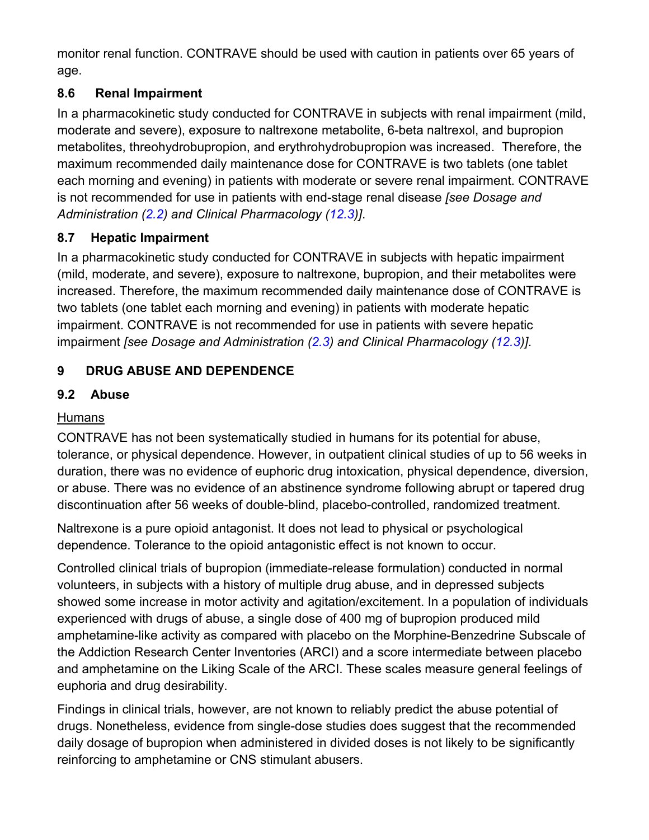monitor renal function. CONTRAVE should be used with caution in patients over 65 years of age.

#### **Renal Impairment** 8.6

In a pharmacokinetic study conducted for CONTRAVE in subjects with renal impairment (mild, moderate and severe), exposure to naltrexone metabolite, 6-beta naltrexol, and bupropion metabolites, threohydrobupropion, and erythrohydrobupropion was increased. Therefore, the maximum recommended daily maintenance dose for CONTRAVE is two tablets (one tablet each morning and evening) in patients with moderate or severe renal impairment. CONTRAVE is not recommended for use in patients with end-stage renal disease [see Dosage and Administration (2.2) and Clinical Pharmacology (12.3)].

#### **Hepatic Impairment** 8.7

In a pharmacokinetic study conducted for CONTRAVE in subjects with hepatic impairment (mild, moderate, and severe), exposure to naltrexone, bupropion, and their metabolites were increased. Therefore, the maximum recommended daily maintenance dose of CONTRAVE is two tablets (one tablet each morning and evening) in patients with moderate hepatic impairment. CONTRAVE is not recommended for use in patients with severe hepatic impairment [see Dosage and Administration (2.3) and Clinical Pharmacology (12.3)].

#### 9 **DRUG ABUSE AND DEPENDENCE**

#### $9.2$ **Abuse**

# **Humans**

CONTRAVE has not been systematically studied in humans for its potential for abuse, tolerance, or physical dependence. However, in outpatient clinical studies of up to 56 weeks in duration, there was no evidence of euphoric drug intoxication, physical dependence, diversion, or abuse. There was no evidence of an abstinence syndrome following abrupt or tapered drug discontinuation after 56 weeks of double-blind, placebo-controlled, randomized treatment.

Naltrexone is a pure opioid antagonist. It does not lead to physical or psychological dependence. Tolerance to the opioid antagonistic effect is not known to occur.

Controlled clinical trials of bupropion (immediate-release formulation) conducted in normal volunteers, in subjects with a history of multiple drug abuse, and in depressed subjects showed some increase in motor activity and agitation/excitement. In a population of individuals experienced with drugs of abuse, a single dose of 400 mg of bupropion produced mild amphetamine-like activity as compared with placebo on the Morphine-Benzedrine Subscale of the Addiction Research Center Inventories (ARCI) and a score intermediate between placebo and amphetamine on the Liking Scale of the ARCI. These scales measure general feelings of euphoria and drug desirability.

Findings in clinical trials, however, are not known to reliably predict the abuse potential of drugs. Nonetheless, evidence from single-dose studies does suggest that the recommended daily dosage of bupropion when administered in divided doses is not likely to be significantly reinforcing to amphetamine or CNS stimulant abusers.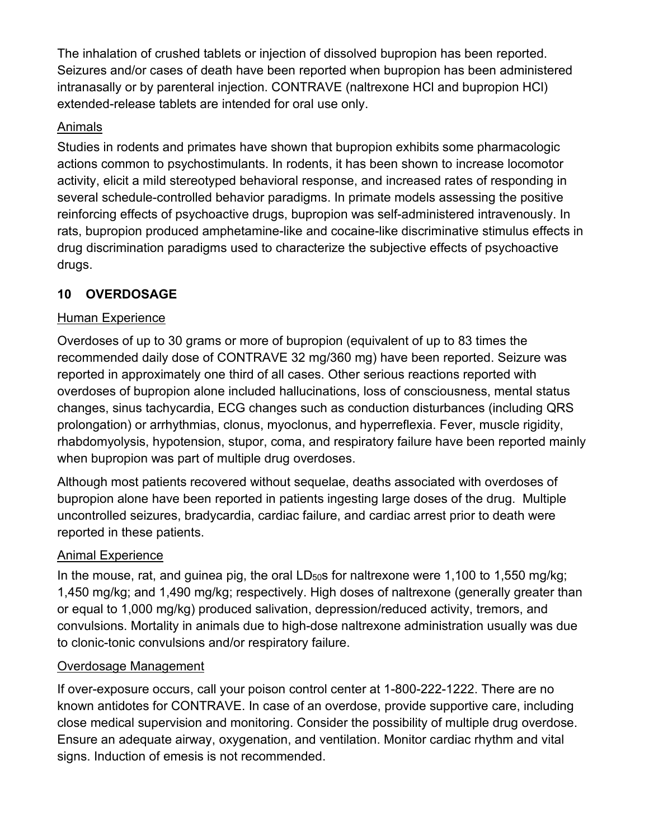The inhalation of crushed tablets or injection of dissolved bupropion has been reported. Seizures and/or cases of death have been reported when bupropion has been administered intranasally or by parenteral injection. CONTRAVE (naltrexone HCI and bupropion HCI) extended-release tablets are intended for oral use only.

## Animals

Studies in rodents and primates have shown that bupropion exhibits some pharmacologic actions common to psychostimulants. In rodents, it has been shown to increase locomotor activity, elicit a mild stereotyped behavioral response, and increased rates of responding in several schedule-controlled behavior paradigms. In primate models assessing the positive reinforcing effects of psychoactive drugs, bupropion was self-administered intravenously. In rats, bupropion produced amphetamine-like and cocaine-like discriminative stimulus effects in drug discrimination paradigms used to characterize the subjective effects of psychoactive drugs.

#### 10 **OVERDOSAGE**

# **Human Experience**

Overdoses of up to 30 grams or more of bupropion (equivalent of up to 83 times the recommended daily dose of CONTRAVE 32 mg/360 mg) have been reported. Seizure was reported in approximately one third of all cases. Other serious reactions reported with overdoses of bupropion alone included hallucinations, loss of consciousness, mental status changes, sinus tachycardia, ECG changes such as conduction disturbances (including QRS prolongation) or arrhythmias, clonus, myoclonus, and hyperreflexia. Fever, muscle rigidity, rhabdomyolysis, hypotension, stupor, coma, and respiratory failure have been reported mainly when bupropion was part of multiple drug overdoses.

Although most patients recovered without sequelae, deaths associated with overdoses of bupropion alone have been reported in patients ingesting large doses of the drug. Multiple uncontrolled seizures, bradycardia, cardiac failure, and cardiac arrest prior to death were reported in these patients.

# **Animal Experience**

In the mouse, rat, and guinea pig, the oral  $LD<sub>50</sub>s$  for naltrexone were 1,100 to 1,550 mg/kg; 1,450 mg/kg; and 1,490 mg/kg; respectively. High doses of naltrexone (generally greater than or equal to 1,000 mg/kg) produced salivation, depression/reduced activity, tremors, and convulsions. Mortality in animals due to high-dose naltrexone administration usually was due to clonic-tonic convulsions and/or respiratory failure.

## Overdosage Management

If over-exposure occurs, call your poison control center at 1-800-222-1222. There are no known antidotes for CONTRAVE. In case of an overdose, provide supportive care, including close medical supervision and monitoring. Consider the possibility of multiple drug overdose. Ensure an adequate airway, oxygenation, and ventilation. Monitor cardiac rhythm and vital signs. Induction of emesis is not recommended.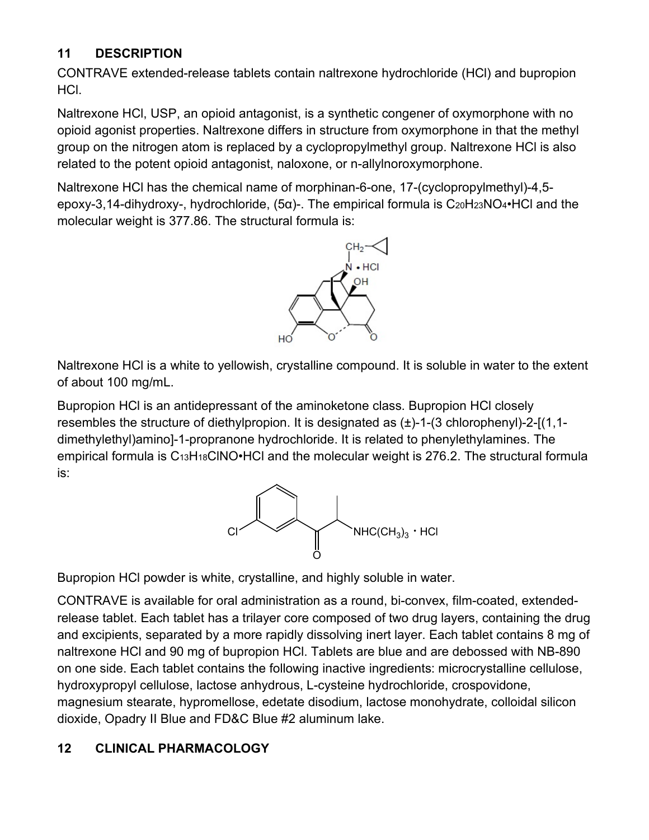#### 11 **DESCRIPTION**

CONTRAVE extended-release tablets contain naltrexone hydrochloride (HCI) and bupropion HCI.

Naltrexone HCI, USP, an opioid antagonist, is a synthetic congener of oxymorphone with no opioid agonist properties. Naltrexone differs in structure from oxymorphone in that the methyl group on the nitrogen atom is replaced by a cyclopropylmethyl group. Naltrexone HCI is also related to the potent opioid antagonist, naloxone, or n-allylnoroxymorphone.

Naltrexone HCI has the chemical name of morphinan-6-one, 17-(cyclopropylmethyl)-4,5epoxy-3,14-dihydroxy-, hydrochloride,  $(5\alpha)$ -. The empirical formula is C<sub>20</sub>H<sub>23</sub>NO<sub>4</sub>•HCl and the molecular weight is 377.86. The structural formula is:



Naltrexone HCI is a white to yellowish, crystalline compound. It is soluble in water to the extent of about 100 mg/mL.

Bupropion HCI is an antidepressant of the aminoketone class. Bupropion HCI closely resembles the structure of diethylpropion. It is designated as  $(\pm)$ -1-(3 chlorophenyl)-2-[(1,1dimethylethyl)amino]-1-propranone hydrochloride. It is related to phenylethylamines. The empirical formula is  $C_{13}H_{18}CINO \cdot HCl$  and the molecular weight is 276.2. The structural formula is:



Bupropion HCI powder is white, crystalline, and highly soluble in water.

CONTRAVE is available for oral administration as a round, bi-convex, film-coated, extendedrelease tablet. Each tablet has a trilayer core composed of two drug layers, containing the drug and excipients, separated by a more rapidly dissolving inert layer. Each tablet contains 8 mg of naltrexone HCI and 90 mg of bupropion HCI. Tablets are blue and are debossed with NB-890 on one side. Each tablet contains the following inactive ingredients: microcrystalline cellulose, hydroxypropyl cellulose, lactose anhydrous, L-cysteine hydrochloride, crospovidone, magnesium stearate, hypromellose, edetate disodium, lactose monohydrate, colloidal silicon dioxide, Opadry II Blue and FD&C Blue #2 aluminum lake.

#### $12$ **CLINICAL PHARMACOLOGY**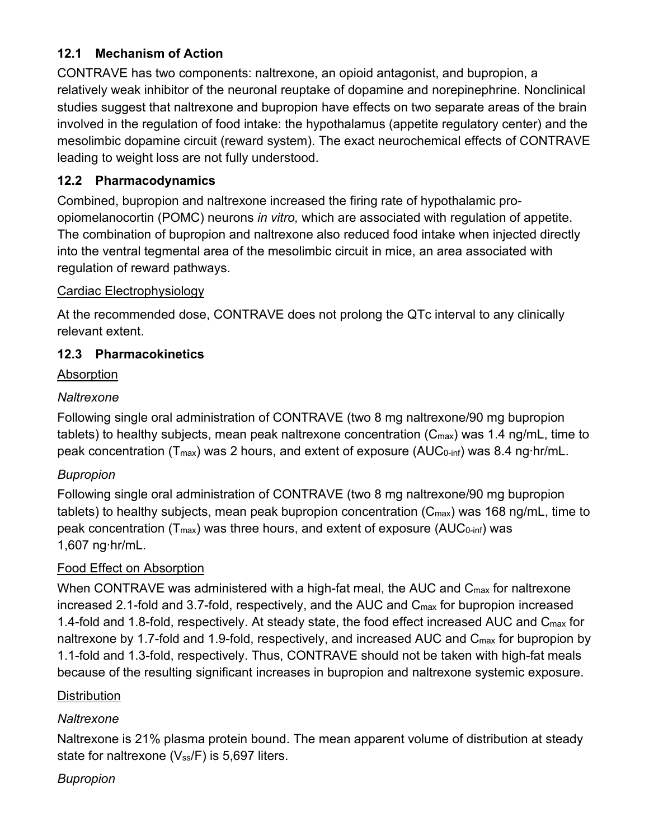#### **Mechanism of Action**  $12.1$

CONTRAVE has two components: naltrexone, an opioid antagonist, and bupropion, a relatively weak inhibitor of the neuronal reuptake of dopamine and norepinephrine. Nonclinical studies suggest that naltrexone and bupropion have effects on two separate areas of the brain involved in the regulation of food intake: the hypothalamus (appetite regulatory center) and the mesolimbic dopamine circuit (reward system). The exact neurochemical effects of CONTRAVE leading to weight loss are not fully understood.

## 12.2 Pharmacodynamics

Combined, bupropion and naltrexone increased the firing rate of hypothalamic proopiomelanocortin (POMC) neurons in vitro, which are associated with regulation of appetite. The combination of bupropion and naltrexone also reduced food intake when injected directly into the ventral tegmental area of the mesolimbic circuit in mice, an area associated with regulation of reward pathways.

## **Cardiac Electrophysiology**

At the recommended dose, CONTRAVE does not prolong the QTc interval to any clinically relevant extent.

## 12.3 Pharmacokinetics

## Absorption

## Naltrexone

Following single oral administration of CONTRAVE (two 8 mg naltrexone/90 mg bupropion tablets) to healthy subjects, mean peak naltrexone concentration  $(C_{\text{max}})$  was 1.4 ng/mL, time to peak concentration ( $T_{max}$ ) was 2 hours, and extent of exposure ( $AUC_{0\text{-inf}}$ ) was 8.4 ng hr/mL.

## **Bupropion**

Following single oral administration of CONTRAVE (two 8 mg naltrexone/90 mg bupropion tablets) to healthy subjects, mean peak bupropion concentration  $(C_{\text{max}})$  was 168 ng/mL, time to peak concentration (T<sub>max</sub>) was three hours, and extent of exposure (AUC<sub>0-inf</sub>) was 1,607 ng hr/mL.

## Food Effect on Absorption

When CONTRAVE was administered with a high-fat meal, the AUC and  $C_{\text{max}}$  for naltrexone increased 2.1-fold and 3.7-fold, respectively, and the AUC and  $C_{\text{max}}$  for bupropion increased 1.4-fold and 1.8-fold, respectively. At steady state, the food effect increased AUC and C<sub>max</sub> for naltrexone by 1.7-fold and 1.9-fold, respectively, and increased AUC and C<sub>max</sub> for bupropion by 1.1-fold and 1.3-fold, respectively. Thus, CONTRAVE should not be taken with high-fat meals because of the resulting significant increases in bupropion and naltrexone systemic exposure.

## **Distribution**

## Naltrexone

Naltrexone is 21% plasma protein bound. The mean apparent volume of distribution at steady state for naltrexone (Vss/F) is 5,697 liters.

## **Bupropion**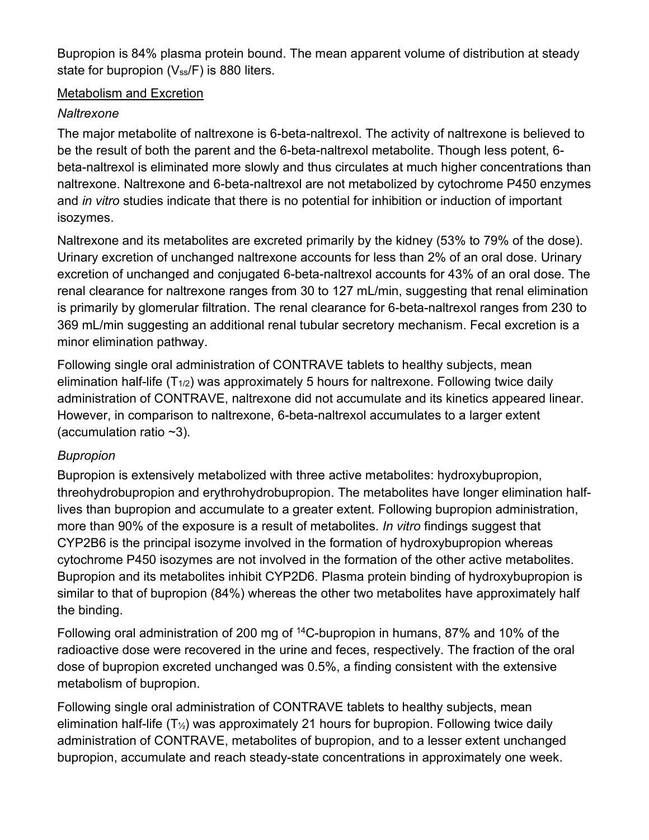Bupropion is 84% plasma protein bound. The mean apparent volume of distribution at steady state for bupropion (Vss/F) is 880 liters.

### Metabolism and Excretion

## Naltrexone

The major metabolite of naltrexone is 6-beta-naltrexol. The activity of naltrexone is believed to be the result of both the parent and the 6-beta-naltrexol metabolite. Though less potent, 6beta-naltrexol is eliminated more slowly and thus circulates at much higher concentrations than naltrexone. Naltrexone and 6-beta-naltrexol are not metabolized by cytochrome P450 enzymes and in vitro studies indicate that there is no potential for inhibition or induction of important isozymes.

Naltrexone and its metabolites are excreted primarily by the kidney (53% to 79% of the dose). Urinary excretion of unchanged naltrexone accounts for less than 2% of an oral dose. Urinary excretion of unchanged and conjugated 6-beta-naltrexol accounts for 43% of an oral dose. The renal clearance for naltrexone ranges from 30 to 127 mL/min, suggesting that renal elimination is primarily by glomerular filtration. The renal clearance for 6-beta-naltrexol ranges from 230 to 369 mL/min suggesting an additional renal tubular secretory mechanism. Fecal excretion is a minor elimination pathway.

Following single oral administration of CONTRAVE tablets to healthy subjects, mean elimination half-life  $(T_{1/2})$  was approximately 5 hours for naltrexone. Following twice daily administration of CONTRAVE, naltrexone did not accumulate and its kinetics appeared linear. However, in comparison to naltrexone, 6-beta-naltrexol accumulates to a larger extent (accumulation ratio  $~2$ ).

## **Bupropion**

Bupropion is extensively metabolized with three active metabolites: hydroxybupropion, threohydrobupropion and erythrohydrobupropion. The metabolites have longer elimination halflives than bupropion and accumulate to a greater extent. Following bupropion administration, more than 90% of the exposure is a result of metabolites. In vitro findings suggest that CYP2B6 is the principal isozyme involved in the formation of hydroxybupropion whereas cytochrome P450 isozymes are not involved in the formation of the other active metabolites. Bupropion and its metabolites inhibit CYP2D6. Plasma protein binding of hydroxybupropion is similar to that of bupropion (84%) whereas the other two metabolites have approximately half the binding.

Following oral administration of 200 mg of <sup>14</sup>C-bupropion in humans, 87% and 10% of the radioactive dose were recovered in the urine and feces, respectively. The fraction of the oral dose of bupropion excreted unchanged was 0.5%, a finding consistent with the extensive metabolism of bupropion.

Following single oral administration of CONTRAVE tablets to healthy subjects, mean elimination half-life  $(T_2)$  was approximately 21 hours for bupropion. Following twice daily administration of CONTRAVE, metabolites of bupropion, and to a lesser extent unchanged bupropion, accumulate and reach steady-state concentrations in approximately one week.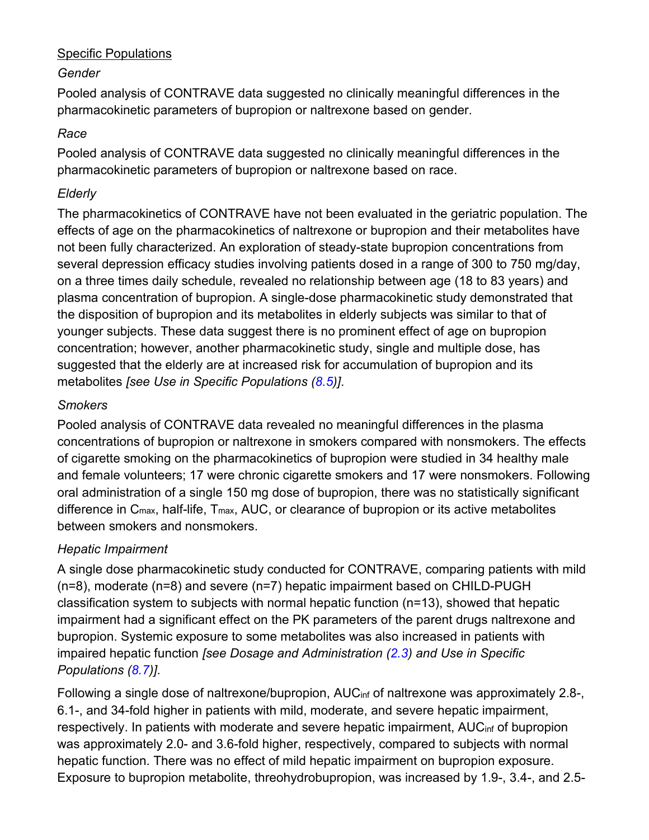### **Specific Populations**

### Gender

Pooled analysis of CONTRAVE data suggested no clinically meaningful differences in the pharmacokinetic parameters of bupropion or naltrexone based on gender.

### Race

Pooled analysis of CONTRAVE data suggested no clinically meaningful differences in the pharmacokinetic parameters of bupropion or naltrexone based on race.

### Elderly

The pharmacokinetics of CONTRAVE have not been evaluated in the geriatric population. The effects of age on the pharmacokinetics of naltrexone or bupropion and their metabolites have not been fully characterized. An exploration of steady-state bupropion concentrations from several depression efficacy studies involving patients dosed in a range of 300 to 750 mg/day, on a three times daily schedule, revealed no relationship between age (18 to 83 years) and plasma concentration of bupropion. A single-dose pharmacokinetic study demonstrated that the disposition of bupropion and its metabolites in elderly subjects was similar to that of younger subjects. These data suggest there is no prominent effect of age on bupropion concentration; however, another pharmacokinetic study, single and multiple dose, has suggested that the elderly are at increased risk for accumulation of bupropion and its metabolites [see Use in Specific Populations (8.5)].

### **Smokers**

Pooled analysis of CONTRAVE data revealed no meaningful differences in the plasma concentrations of bupropion or naltrexone in smokers compared with nonsmokers. The effects of cigarette smoking on the pharmacokinetics of bupropion were studied in 34 healthy male and female volunteers; 17 were chronic cigarette smokers and 17 were nonsmokers. Following oral administration of a single 150 mg dose of bupropion, there was no statistically significant difference in  $C_{\text{max}}$ , half-life,  $T_{\text{max}}$ , AUC, or clearance of bupropion or its active metabolites between smokers and nonsmokers.

## **Hepatic Impairment**

A single dose pharmacokinetic study conducted for CONTRAVE, comparing patients with mild  $(n=8)$ , moderate  $(n=8)$  and severe  $(n=7)$  hepatic impairment based on CHILD-PUGH classification system to subjects with normal hepatic function (n=13), showed that hepatic impairment had a significant effect on the PK parameters of the parent drugs naltrexone and bupropion. Systemic exposure to some metabolites was also increased in patients with impaired hepatic function [see Dosage and Administration (2.3) and Use in Specific Populations (8.7)].

Following a single dose of naltrexone/bupropion, AUC<sub>inf</sub> of naltrexone was approximately 2.8-, 6.1-, and 34-fold higher in patients with mild, moderate, and severe hepatic impairment, respectively. In patients with moderate and severe hepatic impairment, AUC<sub>inf</sub> of bupropion was approximately 2.0- and 3.6-fold higher, respectively, compared to subjects with normal hepatic function. There was no effect of mild hepatic impairment on bupropion exposure. Exposure to bupropion metabolite, threohydrobupropion, was increased by 1.9-, 3.4-, and 2.5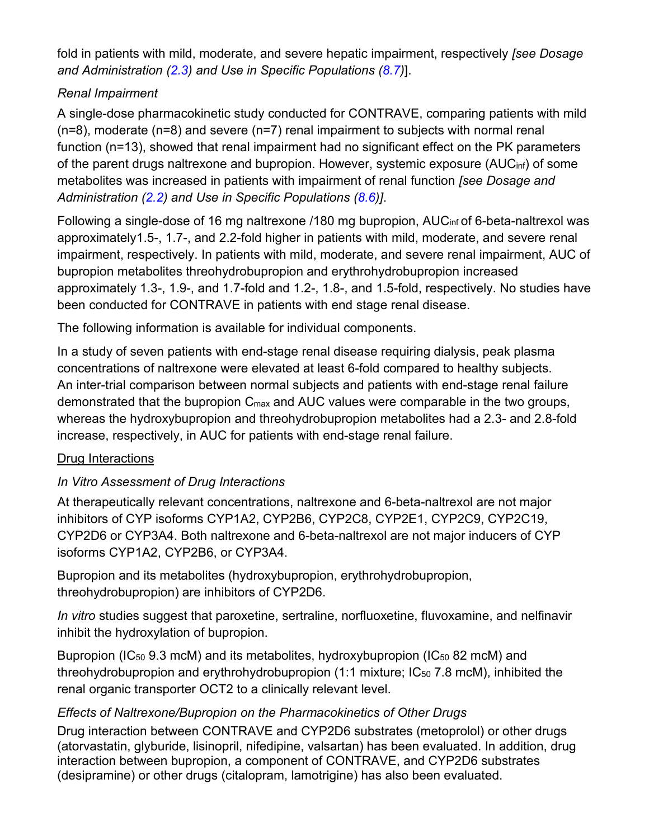fold in patients with mild, moderate, and severe hepatic impairment, respectively (see Dosage and Administration  $(2.3)$  and Use in Specific Populations  $(8.7)$ ].

## **Renal Impairment**

A single-dose pharmacokinetic study conducted for CONTRAVE, comparing patients with mild  $(n=8)$ , moderate  $(n=8)$  and severe  $(n=7)$  renal impairment to subjects with normal renal function (n=13), showed that renal impairment had no significant effect on the PK parameters of the parent drugs naltrexone and bupropion. However, systemic exposure (AUC<sub>inf</sub>) of some metabolites was increased in patients with impairment of renal function (see Dosage and Administration (2.2) and Use in Specific Populations (8.6)].

Following a single-dose of 16 mg naltrexone /180 mg bupropion, AUC<sub>inf</sub> of 6-beta-naltrexol was approximately1.5-, 1.7-, and 2.2-fold higher in patients with mild, moderate, and severe renal impairment, respectively. In patients with mild, moderate, and severe renal impairment, AUC of bupropion metabolites threohydrobupropion and erythrohydrobupropion increased approximately 1.3-, 1.9-, and 1.7-fold and 1.2-, 1.8-, and 1.5-fold, respectively. No studies have been conducted for CONTRAVE in patients with end stage renal disease.

The following information is available for individual components.

In a study of seven patients with end-stage renal disease requiring dialysis, peak plasma concentrations of naltrexone were elevated at least 6-fold compared to healthy subjects. An inter-trial comparison between normal subjects and patients with end-stage renal failure demonstrated that the bupropion C<sub>max</sub> and AUC values were comparable in the two groups, whereas the hydroxybupropion and threohydrobupropion metabolites had a 2.3- and 2.8-fold increase, respectively, in AUC for patients with end-stage renal failure.

## Drug Interactions

# In Vitro Assessment of Drug Interactions

At therapeutically relevant concentrations, naltrexone and 6-beta-naltrexol are not major inhibitors of CYP isoforms CYP1A2, CYP2B6, CYP2C8, CYP2E1, CYP2C9, CYP2C19, CYP2D6 or CYP3A4. Both naltrexone and 6-beta-naltrexol are not major inducers of CYP isoforms CYP1A2, CYP2B6, or CYP3A4.

Bupropion and its metabolites (hydroxybupropion, erythrohydrobupropion, threohydrobupropion) are inhibitors of CYP2D6.

In vitro studies suggest that paroxetine, sertraline, norfluoxetine, fluvoxamine, and nelfinavir inhibit the hydroxylation of bupropion.

Bupropion (IC<sub>50</sub> 9.3 mcM) and its metabolites, hydroxybupropion (IC<sub>50</sub> 82 mcM) and threohydrobupropion and erythrohydrobupropion (1:1 mixture; IC<sub>50</sub> 7.8 mcM), inhibited the renal organic transporter OCT2 to a clinically relevant level.

## Effects of Naltrexone/Bupropion on the Pharmacokinetics of Other Drugs

Drug interaction between CONTRAVE and CYP2D6 substrates (metoprolol) or other drugs (atorvastatin, glyburide, lisinopril, nifedipine, valsartan) has been evaluated. In addition, drug interaction between bupropion, a component of CONTRAVE, and CYP2D6 substrates (desipramine) or other drugs (citalopram, lamotrigine) has also been evaluated.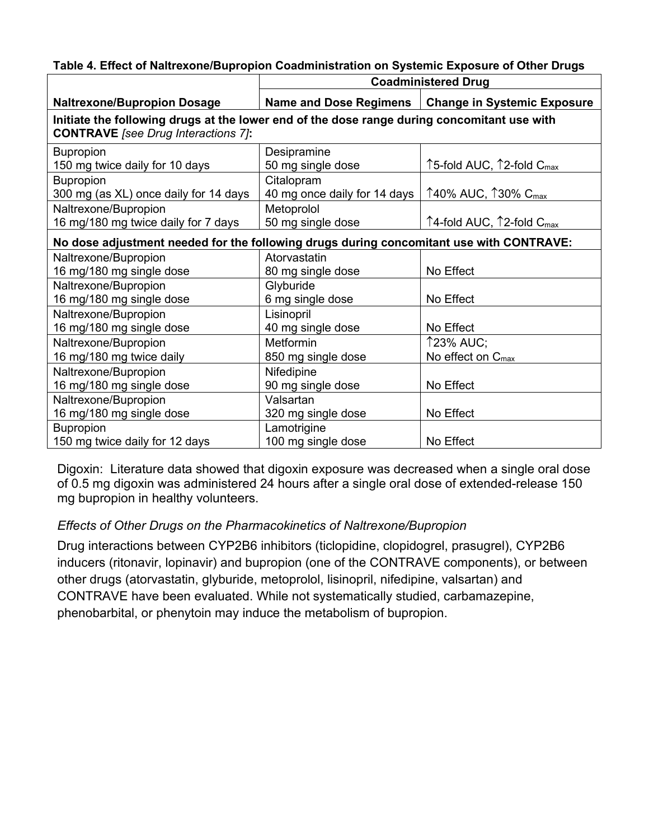| <b>Naltrexone/Bupropion Dosage</b>                                                                                                        | <b>Name and Dose Regimens</b> | <b>Change in Systemic Exposure</b>                        |  |  |  |  |  |
|-------------------------------------------------------------------------------------------------------------------------------------------|-------------------------------|-----------------------------------------------------------|--|--|--|--|--|
| Initiate the following drugs at the lower end of the dose range during concomitant use with<br><b>CONTRAVE</b> [see Drug Interactions 7]: |                               |                                                           |  |  |  |  |  |
| <b>Bupropion</b>                                                                                                                          | Desipramine                   |                                                           |  |  |  |  |  |
| 150 mg twice daily for 10 days                                                                                                            | 50 mg single dose             | ↑5-fold AUC, 12-fold C <sub>max</sub>                     |  |  |  |  |  |
| <b>Bupropion</b>                                                                                                                          | Citalopram                    |                                                           |  |  |  |  |  |
| 300 mg (as XL) once daily for 14 days                                                                                                     | 40 mg once daily for 14 days  | $\uparrow$ 40% AUC, $\uparrow$ 30% C <sub>max</sub>       |  |  |  |  |  |
| Naltrexone/Bupropion                                                                                                                      | Metoprolol                    |                                                           |  |  |  |  |  |
| 16 mg/180 mg twice daily for 7 days                                                                                                       | 50 mg single dose             | $\uparrow$ 4-fold AUC, $\uparrow$ 2-fold C <sub>max</sub> |  |  |  |  |  |
| No dose adjustment needed for the following drugs during concomitant use with CONTRAVE:                                                   |                               |                                                           |  |  |  |  |  |
| Naltrexone/Bupropion                                                                                                                      | Atorvastatin                  |                                                           |  |  |  |  |  |
| 16 mg/180 mg single dose                                                                                                                  | 80 mg single dose             | No Effect                                                 |  |  |  |  |  |
| Naltrexone/Bupropion                                                                                                                      | Glyburide                     |                                                           |  |  |  |  |  |
| 16 mg/180 mg single dose                                                                                                                  | 6 mg single dose              | No Effect                                                 |  |  |  |  |  |
| Naltrexone/Bupropion                                                                                                                      | Lisinopril                    |                                                           |  |  |  |  |  |
| 16 mg/180 mg single dose                                                                                                                  | 40 mg single dose             | No Effect                                                 |  |  |  |  |  |
| Naltrexone/Bupropion                                                                                                                      | Metformin                     | <b>123% AUC;</b>                                          |  |  |  |  |  |
| 16 mg/180 mg twice daily                                                                                                                  | 850 mg single dose            | No effect on $C_{\text{max}}$                             |  |  |  |  |  |
| Naltrexone/Bupropion                                                                                                                      | Nifedipine                    |                                                           |  |  |  |  |  |
| 16 mg/180 mg single dose                                                                                                                  | 90 mg single dose             | No Effect                                                 |  |  |  |  |  |
| Naltrexone/Bupropion                                                                                                                      | Valsartan                     |                                                           |  |  |  |  |  |
| 16 mg/180 mg single dose                                                                                                                  | 320 mg single dose            | No Effect                                                 |  |  |  |  |  |
| <b>Bupropion</b>                                                                                                                          | Lamotrigine                   |                                                           |  |  |  |  |  |
| 150 mg twice daily for 12 days                                                                                                            | 100 mg single dose            | No Effect                                                 |  |  |  |  |  |

#### Table 4. Effect of Naltrexone/Bupropion Coadministration on Systemic Exposure of Other Drugs

**Coadministered Drug** 

Digoxin: Literature data showed that digoxin exposure was decreased when a single oral dose of 0.5 mg digoxin was administered 24 hours after a single oral dose of extended-release 150 mg bupropion in healthy volunteers.

### Effects of Other Drugs on the Pharmacokinetics of Naltrexone/Bupropion

Drug interactions between CYP2B6 inhibitors (ticlopidine, clopidogrel, prasugrel), CYP2B6 inducers (ritonavir, lopinavir) and bupropion (one of the CONTRAVE components), or between other drugs (atorvastatin, glyburide, metoprolol, lisinopril, nifedipine, valsartan) and CONTRAVE have been evaluated. While not systematically studied, carbamazepine, phenobarbital, or phenytoin may induce the metabolism of bupropion.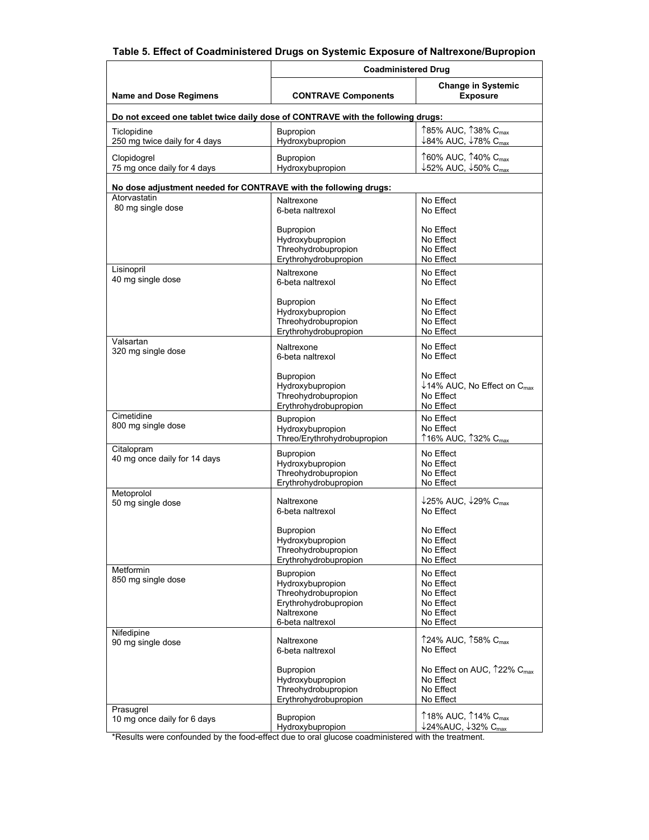#### Table 5. Effect of Coadministered Drugs on Systemic Exposure of Naltrexone/Bupropion

|                                                                  | <b>Coadministered Drug</b>                                                                                             |                                                                                                               |  |  |  |  |
|------------------------------------------------------------------|------------------------------------------------------------------------------------------------------------------------|---------------------------------------------------------------------------------------------------------------|--|--|--|--|
| <b>Name and Dose Regimens</b>                                    | <b>CONTRAVE Components</b>                                                                                             | <b>Change in Systemic</b><br><b>Exposure</b>                                                                  |  |  |  |  |
|                                                                  | Do not exceed one tablet twice daily dose of CONTRAVE with the following drugs:                                        |                                                                                                               |  |  |  |  |
| Ticlopidine<br>250 mg twice daily for 4 days                     | Bupropion<br>Hydroxybupropion                                                                                          | ↑85% AUC, ↑38% C <sub>max</sub><br>↓84% AUC, ↓78% C <sub>max</sub>                                            |  |  |  |  |
| Clopidogrel<br>75 mg once daily for 4 days                       | <b>Bupropion</b><br>Hydroxybupropion                                                                                   | ↑60% AUC, ↑40% C <sub>max</sub><br>$\downarrow$ 52% AUC, $\downarrow$ 50% C <sub>max</sub>                    |  |  |  |  |
| No dose adjustment needed for CONTRAVE with the following drugs: |                                                                                                                        |                                                                                                               |  |  |  |  |
| Atorvastatin<br>80 mg single dose                                | Naltrexone<br>6-beta naltrexol                                                                                         | No Effect<br>No Effect                                                                                        |  |  |  |  |
|                                                                  | Bupropion<br>Hydroxybupropion<br>Threohydrobupropion<br>Erythrohydrobupropion                                          | No Effect<br>No Effect<br>No Effect<br>No Effect                                                              |  |  |  |  |
| Lisinopril<br>40 mg single dose                                  | Naltrexone<br>6-beta naltrexol                                                                                         | No Effect<br>No Effect                                                                                        |  |  |  |  |
|                                                                  | Bupropion<br>Hydroxybupropion<br>Threohydrobupropion<br>Erythrohydrobupropion                                          | No Effect<br>No Effect<br>No Effect<br>No Effect                                                              |  |  |  |  |
| Valsartan<br>320 mg single dose                                  | Naltrexone<br>6-beta naltrexol                                                                                         | No Effect<br>No Effect                                                                                        |  |  |  |  |
|                                                                  | <b>Bupropion</b><br>Hydroxybupropion<br>Threohydrobupropion<br>Erythrohydrobupropion                                   | No Effect<br>$\downarrow$ 14% AUC, No Effect on C <sub>max</sub><br>No Effect<br>No Effect                    |  |  |  |  |
| Cimetidine<br>800 mg single dose                                 | <b>Bupropion</b><br>Hydroxybupropion<br>Threo/Erythrohydrobupropion                                                    | No Effect<br>No Effect<br>↑16% AUC, ↑32% C <sub>max</sub>                                                     |  |  |  |  |
| Citalopram<br>40 mg once daily for 14 days                       | Bupropion<br>Hydroxybupropion<br>Threohydrobupropion<br>Erythrohydrobupropion                                          | No Effect<br>No Effect<br>No Effect<br>No Effect                                                              |  |  |  |  |
| Metoprolol<br>50 mg single dose                                  | Naltrexone<br>6-beta naltrexol                                                                                         | $\downarrow$ 25% AUC, $\downarrow$ 29% C <sub>max</sub><br>No Effect                                          |  |  |  |  |
|                                                                  | <b>Bupropion</b><br>Hydroxybupropion<br>Threohydrobupropion<br>Erythrohydrobupropion                                   | No Effect<br>No Effect<br>No Effect<br>No Effect                                                              |  |  |  |  |
| Metformin<br>850 mg single dose                                  | <b>Bupropion</b><br>Hydroxybupropion<br>Threohydrobupropion<br>Erythrohydrobupropion<br>Naltrexone<br>6-beta naltrexol | No Effect<br>No Effect<br>No Effect<br>No Effect<br>No Effect<br>No Effect                                    |  |  |  |  |
| Nifedipine<br>90 mg single dose                                  | Naltrexone<br>6-beta naltrexol                                                                                         | ↑24% AUC, ↑58% C <sub>max</sub><br>No Effect                                                                  |  |  |  |  |
|                                                                  | Bupropion<br>Hydroxybupropion<br>Threohydrobupropion<br>Erythrohydrobupropion                                          | No Effect on AUC, 122% C <sub>max</sub><br>No Effect<br>No Effect<br>No Effect                                |  |  |  |  |
| Prasugrel<br>10 mg once daily for 6 days                         | Bupropion<br>Hydroxybupropion                                                                                          | $\uparrow$ 18% AUC, $\uparrow$ 14% C <sub>max</sub><br>$\downarrow$ 24%AUC, $\downarrow$ 32% C <sub>max</sub> |  |  |  |  |

\*Results were confounded by the food-effect due to oral glucose coadministered with the treatment.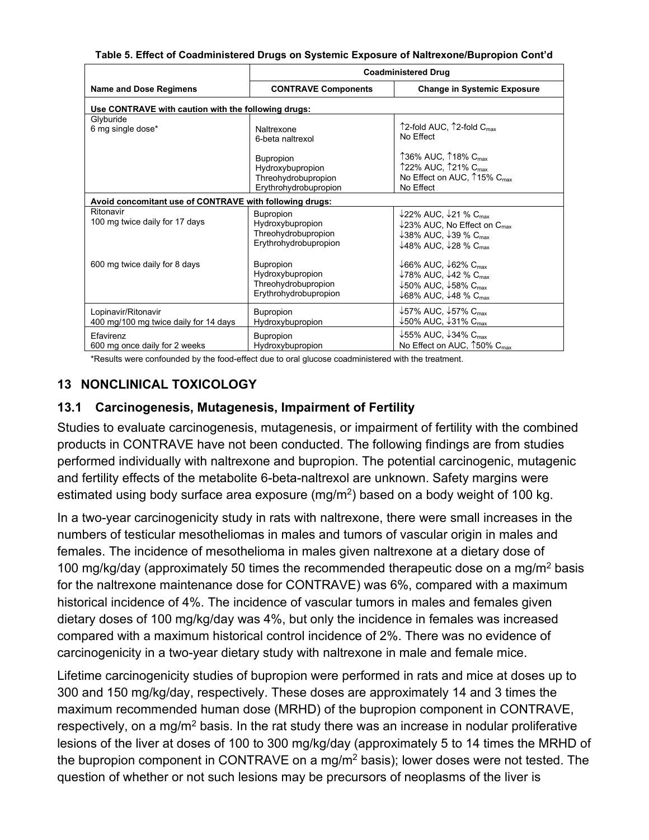| Table 5. Effect of Coadministered Drugs on Systemic Exposure of Naltrexone/Bupropion Cont'd |  |
|---------------------------------------------------------------------------------------------|--|

|                                                              | <b>Coadministered Drug</b>                                                           |                                                                                                                                                                                                                                            |  |  |  |  |  |  |
|--------------------------------------------------------------|--------------------------------------------------------------------------------------|--------------------------------------------------------------------------------------------------------------------------------------------------------------------------------------------------------------------------------------------|--|--|--|--|--|--|
| <b>Name and Dose Regimens</b>                                | <b>CONTRAVE Components</b>                                                           | <b>Change in Systemic Exposure</b>                                                                                                                                                                                                         |  |  |  |  |  |  |
| Use CONTRAVE with caution with the following drugs:          |                                                                                      |                                                                                                                                                                                                                                            |  |  |  |  |  |  |
| Glyburide<br>6 mg single dose*                               | Naltrexone<br>6-beta naltrexol<br><b>Bupropion</b><br>Hydroxybupropion               | $\uparrow$ 2-fold AUC, $\uparrow$ 2-fold $C_{\text{max}}$<br>No Effect<br>↑36% AUC, ↑18% C <sub>max</sub><br>↑22% AUC, ↑21% C <sub>max</sub>                                                                                               |  |  |  |  |  |  |
|                                                              | Threohydrobupropion<br>Erythrohydrobupropion                                         | No Effect on AUC, $\uparrow$ 15% C <sub>max</sub><br>No Effect                                                                                                                                                                             |  |  |  |  |  |  |
|                                                              | Avoid concomitant use of CONTRAVE with following drugs:                              |                                                                                                                                                                                                                                            |  |  |  |  |  |  |
| Ritonavir<br>100 mg twice daily for 17 days                  | <b>Bupropion</b><br>Hydroxybupropion<br>Threohydrobupropion<br>Erythrohydrobupropion | $\downarrow$ 22% AUC, $\downarrow$ 21 % C <sub>max</sub><br>$\downarrow$ 23% AUC, No Effect on C <sub>max</sub><br>$\downarrow$ 38% AUC, $\downarrow$ 39 % C <sub>max</sub><br>$\downarrow$ 48% AUC, $\downarrow$ 28 % C <sub>max</sub>    |  |  |  |  |  |  |
| 600 mg twice daily for 8 days                                | <b>Bupropion</b><br>Hydroxybupropion<br>Threohydrobupropion<br>Erythrohydrobupropion | $\downarrow$ 66% AUC, $\downarrow$ 62% C <sub>max</sub><br>$\downarrow$ 78% AUC, $\downarrow$ 42 % C <sub>max</sub><br>$\downarrow$ 50% AUC, $\downarrow$ 58% C <sub>max</sub><br>$\downarrow$ 68% AUC, $\downarrow$ 48 % C <sub>max</sub> |  |  |  |  |  |  |
| Lopinavir/Ritonavir<br>400 mg/100 mg twice daily for 14 days | <b>Bupropion</b><br>Hydroxybupropion                                                 | $\downarrow$ 57% AUC, $\downarrow$ 57% C <sub>max</sub><br>$\downarrow$ 50% AUC, $\downarrow$ 31% C <sub>max</sub>                                                                                                                         |  |  |  |  |  |  |
| Efavirenz<br>600 mg once daily for 2 weeks                   | <b>Bupropion</b><br>Hydroxybupropion                                                 | $\downarrow$ 55% AUC, $\downarrow$ 34% C <sub>max</sub><br>No Effect on AUC, 150% C <sub>max</sub>                                                                                                                                         |  |  |  |  |  |  |

\*Results were confounded by the food-effect due to oral glucose coadministered with the treatment.

## **13 NONCLINICAL TOXICOLOGY**

### 13.1 Carcinogenesis, Mutagenesis, Impairment of Fertility

Studies to evaluate carcinogenesis, mutagenesis, or impairment of fertility with the combined products in CONTRAVE have not been conducted. The following findings are from studies performed individually with naltrexone and bupropion. The potential carcinogenic, mutagenic and fertility effects of the metabolite 6-beta-naltrexol are unknown. Safety margins were estimated using body surface area exposure (mg/m<sup>2</sup>) based on a body weight of 100 kg.

In a two-year carcinogenicity study in rats with naltrexone, there were small increases in the numbers of testicular mesotheliomas in males and tumors of vascular origin in males and females. The incidence of mesothelioma in males given naltrexone at a dietary dose of 100 mg/kg/day (approximately 50 times the recommended therapeutic dose on a mg/m<sup>2</sup> basis for the naltrexone maintenance dose for CONTRAVE) was 6%, compared with a maximum historical incidence of 4%. The incidence of vascular tumors in males and females given dietary doses of 100 mg/kg/day was 4%, but only the incidence in females was increased compared with a maximum historical control incidence of 2%. There was no evidence of carcinogenicity in a two-year dietary study with naltrexone in male and female mice.

Lifetime carcinogenicity studies of bupropion were performed in rats and mice at doses up to 300 and 150 mg/kg/day, respectively. These doses are approximately 14 and 3 times the maximum recommended human dose (MRHD) of the bupropion component in CONTRAVE, respectively, on a mg/m<sup>2</sup> basis. In the rat study there was an increase in nodular proliferative lesions of the liver at doses of 100 to 300 mg/kg/day (approximately 5 to 14 times the MRHD of the bupropion component in CONTRAVE on a mg/m<sup>2</sup> basis); lower doses were not tested. The question of whether or not such lesions may be precursors of neoplasms of the liver is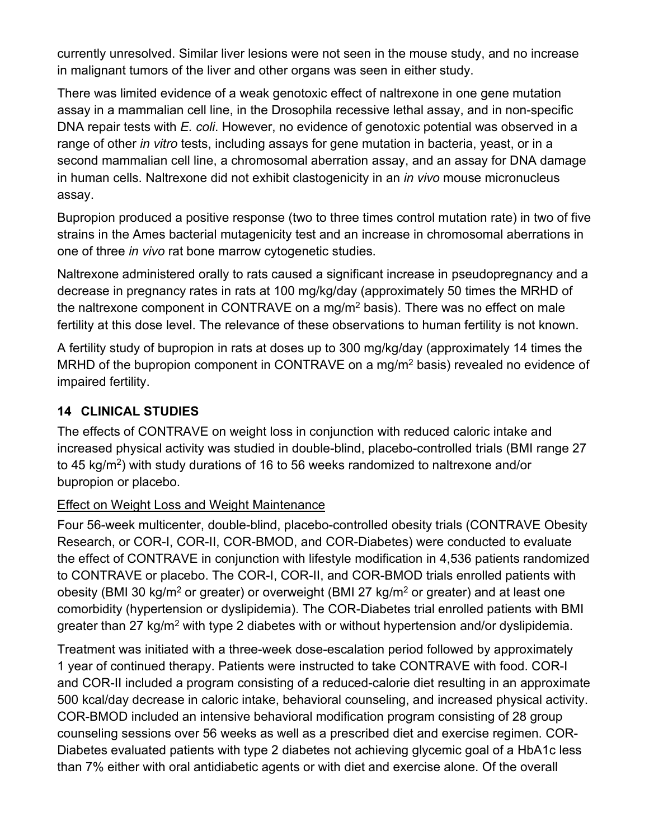currently unresolved. Similar liver lesions were not seen in the mouse study, and no increase in malignant tumors of the liver and other organs was seen in either study.

There was limited evidence of a weak genotoxic effect of naltrexone in one gene mutation assay in a mammalian cell line, in the Drosophila recessive lethal assay, and in non-specific DNA repair tests with E. coli. However, no evidence of genotoxic potential was observed in a range of other in vitro tests, including assays for gene mutation in bacteria, yeast, or in a second mammalian cell line, a chromosomal aberration assay, and an assay for DNA damage in human cells. Naltrexone did not exhibit clastogenicity in an *in vivo* mouse micronucleus assay.

Bupropion produced a positive response (two to three times control mutation rate) in two of five strains in the Ames bacterial mutagenicity test and an increase in chromosomal aberrations in one of three in vivo rat bone marrow cytogenetic studies.

Naltrexone administered orally to rats caused a significant increase in pseudopregnancy and a decrease in pregnancy rates in rats at 100 mg/kg/day (approximately 50 times the MRHD of the naltrexone component in CONTRAVE on a mg/m<sup>2</sup> basis). There was no effect on male fertility at this dose level. The relevance of these observations to human fertility is not known.

A fertility study of bupropion in rats at doses up to 300 mg/kg/day (approximately 14 times the MRHD of the bupropion component in CONTRAVE on a mg/m<sup>2</sup> basis) revealed no evidence of impaired fertility.

## **14 CLINICAL STUDIES**

The effects of CONTRAVE on weight loss in conjunction with reduced caloric intake and increased physical activity was studied in double-blind, placebo-controlled trials (BMI range 27 to 45 kg/m<sup>2</sup>) with study durations of 16 to 56 weeks randomized to naltrexone and/or bupropion or placebo.

### Effect on Weight Loss and Weight Maintenance

Four 56-week multicenter, double-blind, placebo-controlled obesity trials (CONTRAVE Obesity Research, or COR-I, COR-II, COR-BMOD, and COR-Diabetes) were conducted to evaluate the effect of CONTRAVE in conjunction with lifestyle modification in 4,536 patients randomized to CONTRAVE or placebo. The COR-I, COR-II, and COR-BMOD trials enrolled patients with obesity (BMI 30 kg/m<sup>2</sup> or greater) or overweight (BMI 27 kg/m<sup>2</sup> or greater) and at least one comorbidity (hypertension or dyslipidemia). The COR-Diabetes trial enrolled patients with BMI greater than 27 kg/m<sup>2</sup> with type 2 diabetes with or without hypertension and/or dyslipidemia.

Treatment was initiated with a three-week dose-escalation period followed by approximately 1 year of continued therapy. Patients were instructed to take CONTRAVE with food. COR-I and COR-II included a program consisting of a reduced-calorie diet resulting in an approximate 500 kcal/day decrease in caloric intake, behavioral counseling, and increased physical activity. COR-BMOD included an intensive behavioral modification program consisting of 28 group counseling sessions over 56 weeks as well as a prescribed diet and exercise regimen. COR-Diabetes evaluated patients with type 2 diabetes not achieving glycemic goal of a HbA1c less than 7% either with oral antidiabetic agents or with diet and exercise alone. Of the overall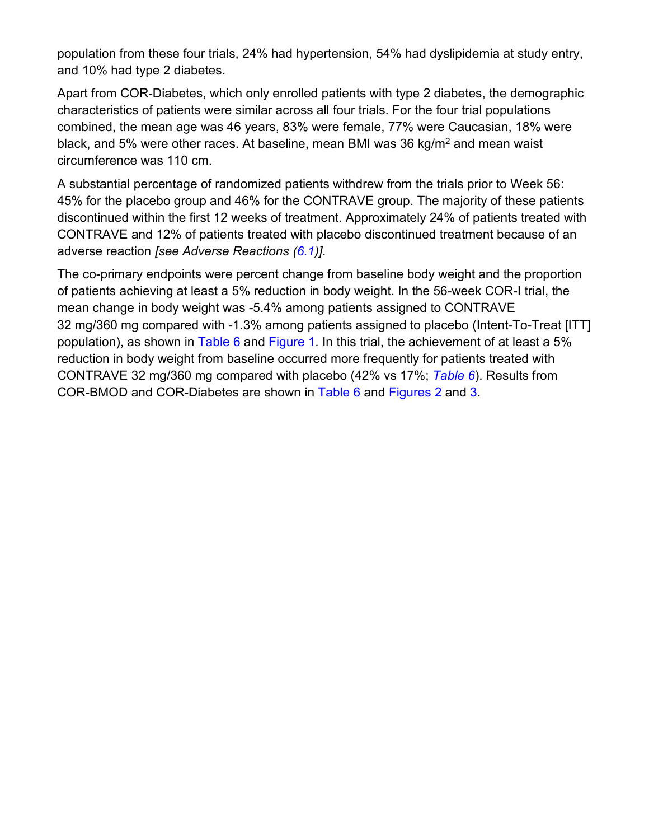population from these four trials, 24% had hypertension, 54% had dyslipidemia at study entry, and 10% had type 2 diabetes.

Apart from COR-Diabetes, which only enrolled patients with type 2 diabetes, the demographic characteristics of patients were similar across all four trials. For the four trial populations combined, the mean age was 46 years, 83% were female, 77% were Caucasian, 18% were black, and 5% were other races. At baseline, mean BMI was 36 kg/m<sup>2</sup> and mean waist circumference was 110 cm.

A substantial percentage of randomized patients withdrew from the trials prior to Week 56: 45% for the placebo group and 46% for the CONTRAVE group. The majority of these patients discontinued within the first 12 weeks of treatment. Approximately 24% of patients treated with CONTRAVE and 12% of patients treated with placebo discontinued treatment because of an adverse reaction [see Adverse Reactions (6.1)].

The co-primary endpoints were percent change from baseline body weight and the proportion of patients achieving at least a 5% reduction in body weight. In the 56-week COR-I trial, the mean change in body weight was -5.4% among patients assigned to CONTRAVE 32 mg/360 mg compared with -1.3% among patients assigned to placebo (Intent-To-Treat [ITT] population), as shown in Table 6 and Figure 1. In this trial, the achievement of at least a 5% reduction in body weight from baseline occurred more frequently for patients treated with CONTRAVE 32 mg/360 mg compared with placebo (42% vs 17%; Table 6). Results from COR-BMOD and COR-Diabetes are shown in Table 6 and Figures 2 and 3.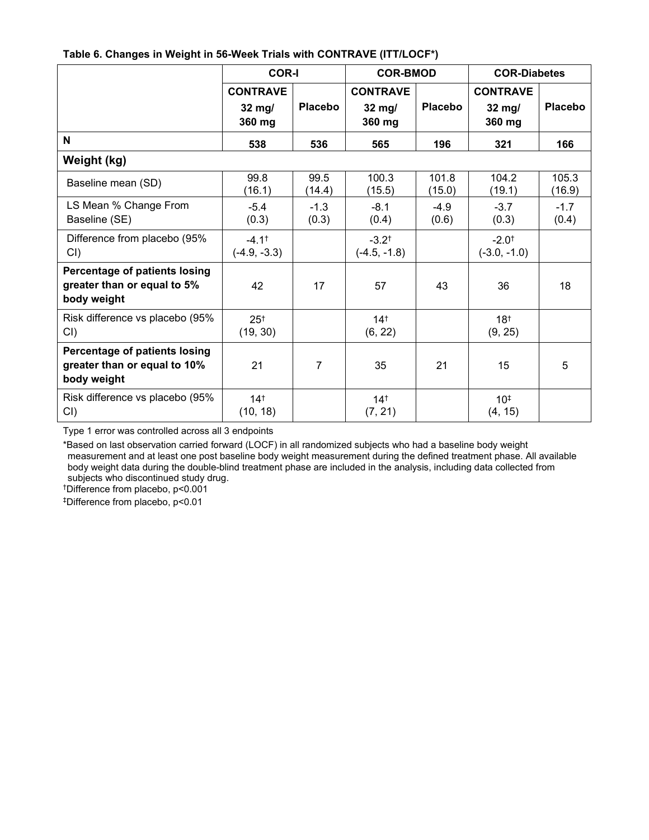|  |  | Table 6. Changes in Weight in 56-Week Trials with CONTRAVE (ITT/LOCF*) |  |
|--|--|------------------------------------------------------------------------|--|
|--|--|------------------------------------------------------------------------|--|

|                                                                              | <b>COR-I</b>                        |                 | <b>COR-BMOD</b>                     |                 | <b>COR-Diabetes</b>                 |                 |
|------------------------------------------------------------------------------|-------------------------------------|-----------------|-------------------------------------|-----------------|-------------------------------------|-----------------|
|                                                                              | <b>CONTRAVE</b><br>32 mg/<br>360 mg | <b>Placebo</b>  | <b>CONTRAVE</b><br>32 mg/<br>360 mg | <b>Placebo</b>  | <b>CONTRAVE</b><br>32 mg/<br>360 mg | <b>Placebo</b>  |
| N                                                                            | 538                                 | 536             | 565                                 | 196             | 321                                 | 166             |
| Weight (kg)                                                                  |                                     |                 |                                     |                 |                                     |                 |
| Baseline mean (SD)                                                           | 99.8<br>(16.1)                      | 99.5<br>(14.4)  | 100.3<br>(15.5)                     | 101.8<br>(15.0) | 104.2<br>(19.1)                     | 105.3<br>(16.9) |
| LS Mean % Change From<br>Baseline (SE)                                       | $-5.4$<br>(0.3)                     | $-1.3$<br>(0.3) | $-8.1$<br>(0.4)                     | $-4.9$<br>(0.6) | $-3.7$<br>(0.3)                     | $-1.7$<br>(0.4) |
| Difference from placebo (95%<br>CI()                                         | $-4.1^+$<br>$(-4.9, -3.3)$          |                 | $-3.2^{+}$<br>$(-4.5, -1.8)$        |                 | $-2.0^+$<br>$(-3.0, -1.0)$          |                 |
| Percentage of patients losing<br>greater than or equal to 5%<br>body weight  | 42                                  | 17              | 57                                  | 43              | 36                                  | 18              |
| Risk difference vs placebo (95%<br>CI()                                      | 25 <sup>†</sup><br>(19, 30)         |                 | 14 <sup>†</sup><br>(6, 22)          |                 | 18 <sup>†</sup><br>(9, 25)          |                 |
| Percentage of patients losing<br>greater than or equal to 10%<br>body weight | 21                                  | $\overline{7}$  | 35                                  | 21              | 15                                  | 5               |
| Risk difference vs placebo (95%<br>$CI$ )                                    | $14^{+}$<br>(10, 18)                |                 | 14 <sup>†</sup><br>(7, 21)          |                 | $10^{+}$<br>(4, 15)                 |                 |

Type 1 error was controlled across all 3 endpoints

\*Based on last observation carried forward (LOCF) in all randomized subjects who had a baseline body weight measurement and at least one post baseline body weight measurement during the defined treatment phase. All available body weight data during the double-blind treatment phase are included in the analysis, including data collected from subjects who discontinued study drug.

<sup>†</sup>Difference from placebo, p<0.001

<sup>‡</sup>Difference from placebo, p<0.01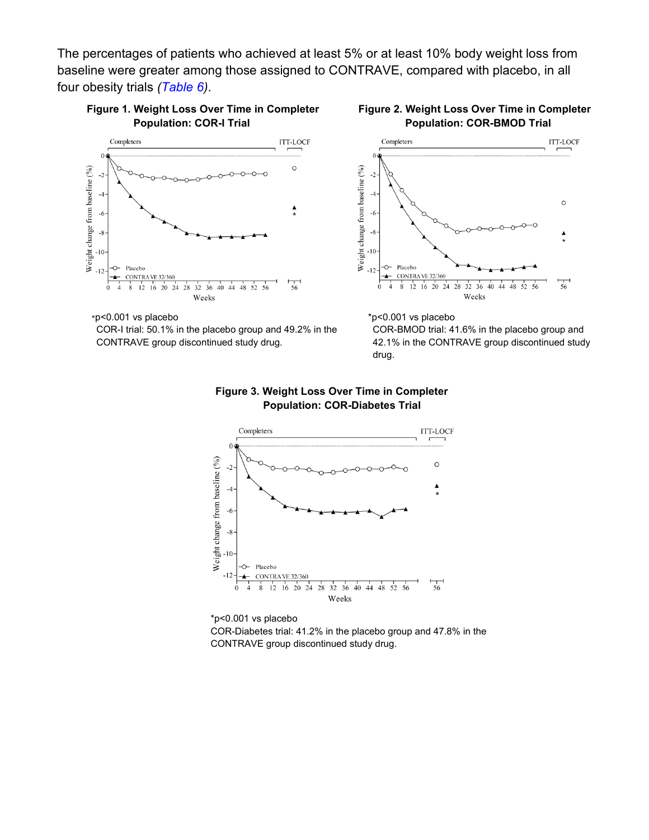The percentages of patients who achieved at least 5% or at least 10% body weight loss from baseline were greater among those assigned to CONTRAVE, compared with placebo, in all four obesity trials (Table 6).



Figure 1. Weight Loss Over Time in Completer **Population: COR-I Trial** 



COR-I trial: 50.1% in the placebo group and 49.2% in the CONTRAVE group discontinued study drug.





\*p<0.001 vs placebo

COR-BMOD trial: 41.6% in the placebo group and 42.1% in the CONTRAVE group discontinued study drug.





\*p<0.001 vs placebo COR-Diabetes trial: 41.2% in the placebo group and 47.8% in the CONTRAVE group discontinued study drug.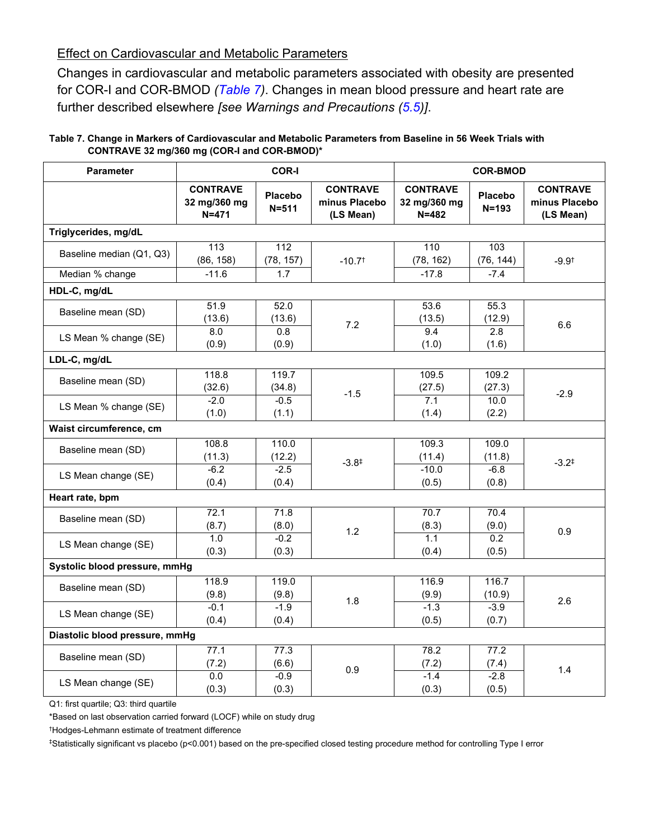#### **Effect on Cardiovascular and Metabolic Parameters**

Changes in cardiovascular and metabolic parameters associated with obesity are presented for COR-I and COR-BMOD (Table 7). Changes in mean blood pressure and heart rate are further described elsewhere [see Warnings and Precautions (5.5)].

| Table 7. Change in Markers of Cardiovascular and Metabolic Parameters from Baseline in 56 Week Trials with |  |
|------------------------------------------------------------------------------------------------------------|--|
| CONTRAVE 32 mg/360 mg (COR-I and COR-BMOD)*                                                                |  |

| <b>Parameter</b>               | <b>COR-I</b>                                 |                             |                                               | <b>COR-BMOD</b>                              |                             |                                               |  |
|--------------------------------|----------------------------------------------|-----------------------------|-----------------------------------------------|----------------------------------------------|-----------------------------|-----------------------------------------------|--|
|                                | <b>CONTRAVE</b><br>32 mg/360 mg<br>$N = 471$ | <b>Placebo</b><br>$N = 511$ | <b>CONTRAVE</b><br>minus Placebo<br>(LS Mean) | <b>CONTRAVE</b><br>32 mg/360 mg<br>$N = 482$ | <b>Placebo</b><br>$N = 193$ | <b>CONTRAVE</b><br>minus Placebo<br>(LS Mean) |  |
| Triglycerides, mg/dL           |                                              |                             |                                               |                                              |                             |                                               |  |
| Baseline median (Q1, Q3)       | 113<br>(86, 158)                             | 112<br>(78, 157)            | $-10.7$ <sup>†</sup>                          | 110<br>(78, 162)                             | 103<br>(76, 144)            | $-9.9†$                                       |  |
| Median % change                | $-11.6$                                      | 1.7                         |                                               | $-17.8$                                      | $-7.4$                      |                                               |  |
| HDL-C, mg/dL                   |                                              |                             |                                               |                                              |                             |                                               |  |
| Baseline mean (SD)             | 51.9<br>(13.6)                               | 52.0<br>(13.6)              | 7.2                                           | 53.6<br>(13.5)                               | 55.3<br>(12.9)              | 6.6                                           |  |
| LS Mean % change (SE)          | $\overline{8.0}$<br>(0.9)                    | $\overline{0.8}$<br>(0.9)   |                                               | 9.4<br>(1.0)                                 | 2.8<br>(1.6)                |                                               |  |
| LDL-C, mg/dL                   |                                              |                             |                                               |                                              |                             |                                               |  |
| Baseline mean (SD)             | 118.8<br>(32.6)                              | 119.7<br>(34.8)             | $-1.5$                                        | 109.5<br>(27.5)                              | 109.2<br>(27.3)             | $-2.9$                                        |  |
| LS Mean % change (SE)          | $-2.0$<br>(1.0)                              | $-0.5$<br>(1.1)             |                                               | 7.1<br>(1.4)                                 | 10.0<br>(2.2)               |                                               |  |
| Waist circumference, cm        |                                              |                             |                                               |                                              |                             |                                               |  |
| Baseline mean (SD)             | 108.8<br>(11.3)                              | 110.0<br>(12.2)             | $-3.8^{\ddagger}$                             | 109.3<br>(11.4)                              | 109.0<br>(11.8)             | $-3.2^{\ddagger}$                             |  |
| LS Mean change (SE)            | $-6.2$<br>(0.4)                              | $-2.5$<br>(0.4)             |                                               | $-10.0$<br>(0.5)                             | $-6.8$<br>(0.8)             |                                               |  |
| Heart rate, bpm                |                                              |                             |                                               |                                              |                             |                                               |  |
| Baseline mean (SD)             | 72.1<br>(8.7)                                | 71.8<br>(8.0)               | 1.2                                           | 70.7<br>(8.3)                                | 70.4<br>(9.0)               | 0.9                                           |  |
| LS Mean change (SE)            | 1.0<br>(0.3)                                 | $-0.2$<br>(0.3)             |                                               | 1.1<br>(0.4)                                 | 0.2<br>(0.5)                |                                               |  |
| Systolic blood pressure, mmHg  |                                              |                             |                                               |                                              |                             |                                               |  |
| Baseline mean (SD)             | 118.9<br>(9.8)                               | 119.0<br>(9.8)              | 1.8                                           | 116.9<br>(9.9)                               | 116.7<br>(10.9)             | 2.6                                           |  |
| LS Mean change (SE)            | $-0.1$<br>(0.4)                              | $-1.9$<br>(0.4)             |                                               | $-1.3$<br>(0.5)                              | $-3.9$<br>(0.7)             |                                               |  |
| Diastolic blood pressure, mmHg |                                              |                             |                                               |                                              |                             |                                               |  |
| Baseline mean (SD)             | 77.1<br>(7.2)                                | 77.3<br>(6.6)               | 0.9                                           | 78.2<br>(7.2)                                | 77.2<br>(7.4)               | 1.4                                           |  |
| LS Mean change (SE)            | 0.0<br>(0.3)                                 | $-0.9$<br>(0.3)             |                                               | $-1.4$<br>(0.3)                              | $-2.8$<br>(0.5)             |                                               |  |

Q1: first quartile; Q3: third quartile

\*Based on last observation carried forward (LOCF) while on study drug

<sup>†</sup>Hodges-Lehmann estimate of treatment difference

#Statistically significant vs placebo (p<0.001) based on the pre-specified closed testing procedure method for controlling Type I error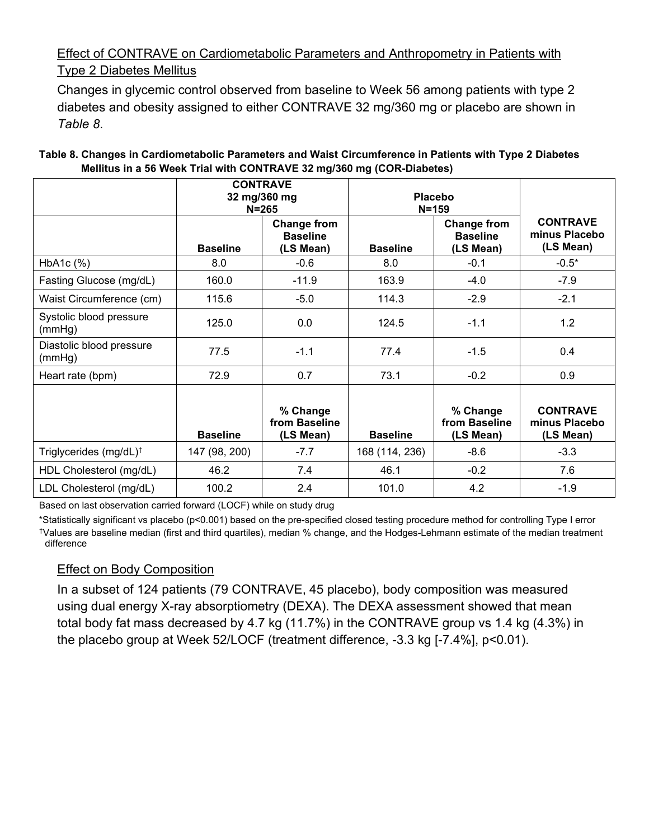## Effect of CONTRAVE on Cardiometabolic Parameters and Anthropometry in Patients with **Type 2 Diabetes Mellitus**

Changes in glycemic control observed from baseline to Week 56 among patients with type 2 diabetes and obesity assigned to either CONTRAVE 32 mg/360 mg or placebo are shown in Table 8.

|                                    | 32 mg/360 mg    | <b>CONTRAVE</b><br>$N = 265$                       | Placebo<br>$N = 159$ |                                                    |                                               |
|------------------------------------|-----------------|----------------------------------------------------|----------------------|----------------------------------------------------|-----------------------------------------------|
|                                    | <b>Baseline</b> | <b>Change from</b><br><b>Baseline</b><br>(LS Mean) | <b>Baseline</b>      | <b>Change from</b><br><b>Baseline</b><br>(LS Mean) | <b>CONTRAVE</b><br>minus Placebo<br>(LS Mean) |
| HbA1c (%)                          | 8.0             | $-0.6$                                             | 8.0                  | $-0.1$                                             | $-0.5*$                                       |
| Fasting Glucose (mg/dL)            | 160.0           | $-11.9$                                            | 163.9                | $-4.0$                                             | $-7.9$                                        |
| Waist Circumference (cm)           | 115.6           | $-5.0$                                             | 114.3                | $-2.9$                                             | $-2.1$                                        |
| Systolic blood pressure<br>(mmHg)  | 125.0           | 0.0                                                | 124.5                | $-1.1$                                             | 1.2                                           |
| Diastolic blood pressure<br>(mmHg) | 77.5            | $-1.1$                                             | 77.4                 | $-1.5$                                             | 0.4                                           |
| Heart rate (bpm)                   | 72.9            | 0.7                                                | 73.1                 | $-0.2$                                             | 0.9                                           |
|                                    | <b>Baseline</b> | % Change<br>from Baseline<br>(LS Mean)             | <b>Baseline</b>      | % Change<br>from Baseline<br>(LS Mean)             | <b>CONTRAVE</b><br>minus Placebo<br>(LS Mean) |
| Triglycerides (mg/dL) <sup>†</sup> | 147 (98, 200)   | $-7.7$                                             | 168 (114, 236)       | $-8.6$                                             | $-3.3$                                        |
| HDL Cholesterol (mg/dL)            | 46.2            | 7.4                                                | 46.1                 | $-0.2$                                             | 7.6                                           |
| LDL Cholesterol (mg/dL)            | 100.2           | 2.4                                                | 101.0                | 4.2                                                | $-1.9$                                        |

#### Table 8. Changes in Cardiometabolic Parameters and Waist Circumference in Patients with Type 2 Diabetes Mellitus in a 56 Week Trial with CONTRAVE 32 mg/360 mg (COR-Diabetes)

Based on last observation carried forward (LOCF) while on study drug

\*Statistically significant vs placebo (p<0.001) based on the pre-specified closed testing procedure method for controlling Type I error tValues are baseline median (first and third quartiles), median % change, and the Hodges-Lehmann estimate of the median treatment difference

## **Effect on Body Composition**

In a subset of 124 patients (79 CONTRAVE, 45 placebo), body composition was measured using dual energy X-ray absorptiometry (DEXA). The DEXA assessment showed that mean total body fat mass decreased by 4.7 kg (11.7%) in the CONTRAVE group vs 1.4 kg (4.3%) in the placebo group at Week 52/LOCF (treatment difference, -3.3 kg [-7.4%], p<0.01).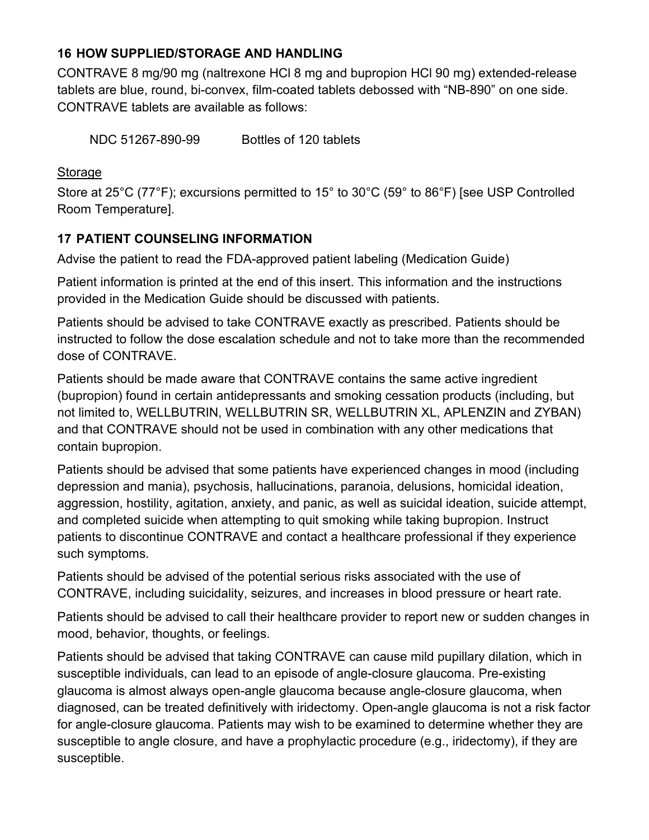### **16 HOW SUPPLIED/STORAGE AND HANDLING**

CONTRAVE 8 mg/90 mg (naltrexone HCI 8 mg and bupropion HCI 90 mg) extended-release tablets are blue, round, bi-convex, film-coated tablets debossed with "NB-890" on one side. CONTRAVE tablets are available as follows:

NDC 51267-890-99 Bottles of 120 tablets

### Storage

Store at 25°C (77°F); excursions permitted to 15° to 30°C (59° to 86°F) [see USP Controlled Room Temperature].

## **17 PATIENT COUNSELING INFORMATION**

Advise the patient to read the FDA-approved patient labeling (Medication Guide)

Patient information is printed at the end of this insert. This information and the instructions provided in the Medication Guide should be discussed with patients.

Patients should be advised to take CONTRAVE exactly as prescribed. Patients should be instructed to follow the dose escalation schedule and not to take more than the recommended dose of CONTRAVE.

Patients should be made aware that CONTRAVE contains the same active ingredient (bupropion) found in certain antidepressants and smoking cessation products (including, but not limited to, WELLBUTRIN, WELLBUTRIN SR, WELLBUTRIN XL, APLENZIN and ZYBAN) and that CONTRAVE should not be used in combination with any other medications that contain bupropion.

Patients should be advised that some patients have experienced changes in mood (including depression and mania), psychosis, hallucinations, paranoia, delusions, homicidal ideation, aggression, hostility, agitation, anxiety, and panic, as well as suicidal ideation, suicide attempt, and completed suicide when attempting to quit smoking while taking bupropion. Instruct patients to discontinue CONTRAVE and contact a healthcare professional if they experience such symptoms.

Patients should be advised of the potential serious risks associated with the use of CONTRAVE, including suicidality, seizures, and increases in blood pressure or heart rate.

Patients should be advised to call their healthcare provider to report new or sudden changes in mood, behavior, thoughts, or feelings.

Patients should be advised that taking CONTRAVE can cause mild pupillary dilation, which in susceptible individuals, can lead to an episode of angle-closure glaucoma. Pre-existing glaucoma is almost always open-angle glaucoma because angle-closure glaucoma, when diagnosed, can be treated definitively with iridectomy. Open-angle glaucoma is not a risk factor for angle-closure glaucoma. Patients may wish to be examined to determine whether they are susceptible to angle closure, and have a prophylactic procedure (e.g., iridectomy), if they are susceptible.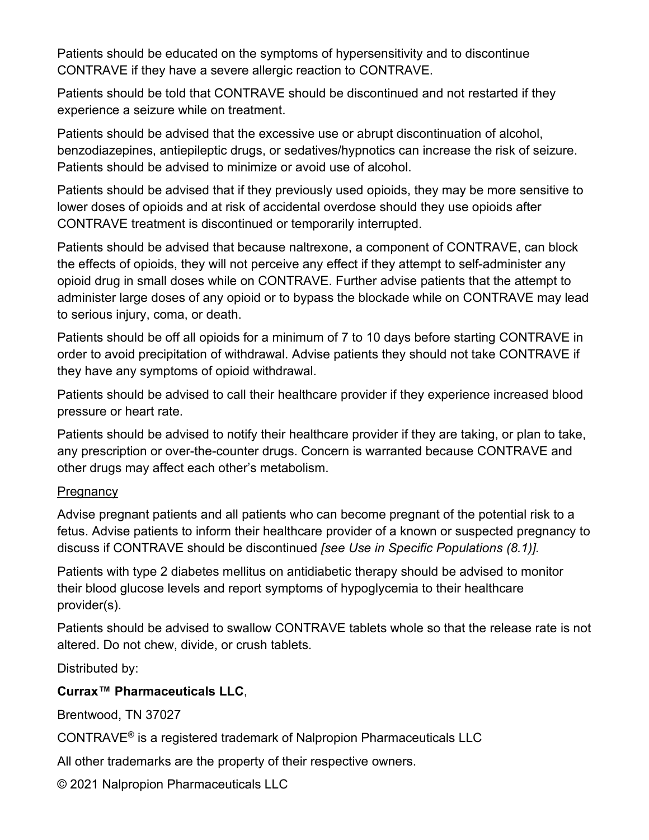Patients should be educated on the symptoms of hypersensitivity and to discontinue CONTRAVE if they have a severe allergic reaction to CONTRAVE.

Patients should be told that CONTRAVE should be discontinued and not restarted if they experience a seizure while on treatment.

Patients should be advised that the excessive use or abrupt discontinuation of alcohol. benzodiazepines, antiepileptic drugs, or sedatives/hypnotics can increase the risk of seizure. Patients should be advised to minimize or avoid use of alcohol.

Patients should be advised that if they previously used opioids, they may be more sensitive to lower doses of opioids and at risk of accidental overdose should they use opioids after CONTRAVE treatment is discontinued or temporarily interrupted.

Patients should be advised that because naltrexone, a component of CONTRAVE, can block the effects of opioids, they will not perceive any effect if they attempt to self-administer any opioid drug in small doses while on CONTRAVE. Further advise patients that the attempt to administer large doses of any opioid or to bypass the blockade while on CONTRAVE may lead to serious injury, coma, or death.

Patients should be off all opioids for a minimum of 7 to 10 days before starting CONTRAVE in order to avoid precipitation of withdrawal. Advise patients they should not take CONTRAVE if they have any symptoms of opioid withdrawal.

Patients should be advised to call their healthcare provider if they experience increased blood pressure or heart rate.

Patients should be advised to notify their healthcare provider if they are taking, or plan to take, any prescription or over-the-counter drugs. Concern is warranted because CONTRAVE and other drugs may affect each other's metabolism.

### Pregnancy

Advise pregnant patients and all patients who can become pregnant of the potential risk to a fetus. Advise patients to inform their healthcare provider of a known or suspected pregnancy to discuss if CONTRAVE should be discontinued [see Use in Specific Populations (8.1)].

Patients with type 2 diabetes mellitus on antidiabetic therapy should be advised to monitor their blood glucose levels and report symptoms of hypoglycemia to their healthcare provider(s).

Patients should be advised to swallow CONTRAVE tablets whole so that the release rate is not altered. Do not chew, divide, or crush tablets.

Distributed by:

## Currax<sup>™</sup> Pharmaceuticals LLC.

Brentwood. TN 37027

CONTRAVE® is a registered trademark of Nalpropion Pharmaceuticals LLC

All other trademarks are the property of their respective owners.

© 2021 Nalpropion Pharmaceuticals LLC